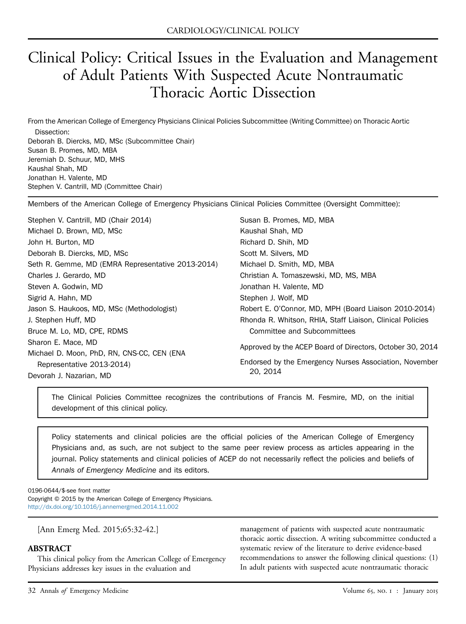# Clinical Policy: Critical Issues in the Evaluation and Management of Adult Patients With Suspected Acute Nontraumatic Thoracic Aortic Dissection

From the American College of Emergency Physicians Clinical Policies Subcommittee (Writing Committee) on Thoracic Aortic Dissection: Deborah B. Diercks, MD, MSc (Subcommittee Chair) Susan B. Promes, MD, MBA Jeremiah D. Schuur, MD, MHS Kaushal Shah, MD Jonathan H. Valente, MD Stephen V. Cantrill, MD (Committee Chair)

Members of the American College of Emergency Physicians Clinical Policies Committee (Oversight Committee):

| Stephen V. Cantrill, MD (Chair 2014)              | Susan B. Promes, MD, MBA                                  |  |  |
|---------------------------------------------------|-----------------------------------------------------------|--|--|
| Michael D. Brown, MD, MSc                         | Kaushal Shah, MD                                          |  |  |
| John H. Burton, MD                                | Richard D. Shih, MD                                       |  |  |
| Deborah B. Diercks, MD, MSc                       | Scott M. Silvers, MD                                      |  |  |
| Seth R. Gemme, MD (EMRA Representative 2013-2014) | Michael D. Smith, MD, MBA                                 |  |  |
| Charles J. Gerardo, MD                            | Christian A. Tomaszewski, MD, MS, MBA                     |  |  |
| Steven A. Godwin, MD                              | Jonathan H. Valente, MD                                   |  |  |
| Sigrid A. Hahn, MD                                | Stephen J. Wolf, MD                                       |  |  |
| Jason S. Haukoos, MD, MSc (Methodologist)         | Robert E. O'Connor, MD, MPH (Board Liaison 2010-2014)     |  |  |
| J. Stephen Huff, MD                               | Rhonda R. Whitson, RHIA, Staff Liaison, Clinical Policies |  |  |
| Bruce M. Lo, MD, CPE, RDMS                        | Committee and Subcommittees                               |  |  |
| Sharon E. Mace, MD                                |                                                           |  |  |
| Michael D. Moon, PhD, RN, CNS-CC, CEN (ENA        | Approved by the ACEP Board of Directors, October 30, 2014 |  |  |
| Representative 2013-2014)                         | Endorsed by the Emergency Nurses Association, November    |  |  |
| Devorah J. Nazarian, MD                           | 20, 2014                                                  |  |  |

The Clinical Policies Committee recognizes the contributions of Francis M. Fesmire, MD, on the initial development of this clinical policy.

Policy statements and clinical policies are the official policies of the American College of Emergency Physicians and, as such, are not subject to the same peer review process as articles appearing in the journal. Policy statements and clinical policies of ACEP do not necessarily reflect the policies and beliefs of Annals of Emergency Medicine and its editors.

0196-0644/\$-see front matter Copyright © 2015 by the American College of Emergency Physicians. <http://dx.doi.org/10.1016/j.annemergmed.2014.11.002>

[Ann Emerg Med. 2015;65:32-42.]

# ABSTRACT

This clinical policy from the American College of Emergency Physicians addresses key issues in the evaluation and

management of patients with suspected acute nontraumatic thoracic aortic dissection. A writing subcommittee conducted a systematic review of the literature to derive evidence-based recommendations to answer the following clinical questions: (1) In adult patients with suspected acute nontraumatic thoracic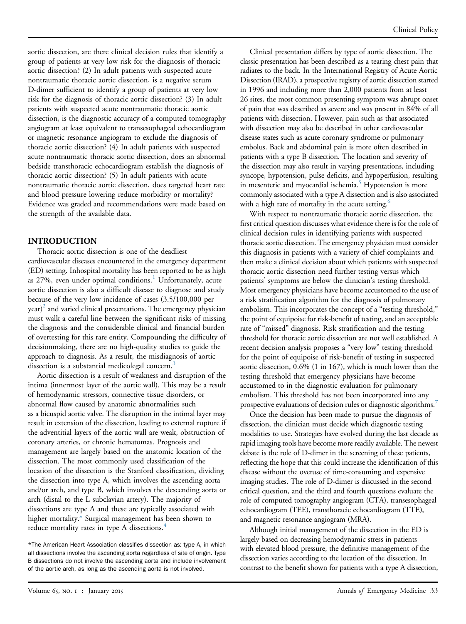aortic dissection, are there clinical decision rules that identify a group of patients at very low risk for the diagnosis of thoracic aortic dissection? (2) In adult patients with suspected acute nontraumatic thoracic aortic dissection, is a negative serum D-dimer sufficient to identify a group of patients at very low risk for the diagnosis of thoracic aortic dissection? (3) In adult patients with suspected acute nontraumatic thoracic aortic dissection, is the diagnostic accuracy of a computed tomography angiogram at least equivalent to transesophageal echocardiogram or magnetic resonance angiogram to exclude the diagnosis of thoracic aortic dissection? (4) In adult patients with suspected acute nontraumatic thoracic aortic dissection, does an abnormal bedside transthoracic echocardiogram establish the diagnosis of thoracic aortic dissection? (5) In adult patients with acute nontraumatic thoracic aortic dissection, does targeted heart rate and blood pressure lowering reduce morbidity or mortality? Evidence was graded and recommendations were made based on the strength of the available data.

# INTRODUCTION

Thoracic aortic dissection is one of the deadliest cardiovascular diseases encountered in the emergency department (ED) setting. Inhospital mortality has been reported to be as high as  $27\%$ , even under optimal conditions.<sup>[1](#page-7-0)</sup> Unfortunately, acute aortic dissection is also a difficult disease to diagnose and study because of the very low incidence of cases (3.5/100,000 per  $year)^2$  $year)^2$  and varied clinical presentations. The emergency physician must walk a careful line between the significant risks of missing the diagnosis and the considerable clinical and financial burden of overtesting for this rare entity. Compounding the difficulty of decisionmaking, there are no high-quality studies to guide the approach to diagnosis. As a result, the misdiagnosis of aortic dissection is a substantial medicolegal concern.<sup>[3](#page-7-2)</sup>

Aortic dissection is a result of weakness and disruption of the intima (innermost layer of the aortic wall). This may be a result of hemodynamic stressors, connective tissue disorders, or abnormal flow caused by anatomic abnormalities such as a bicuspid aortic valve. The disruption in the intimal layer may result in extension of the dissection, leading to external rupture if the adventitial layers of the aortic wall are weak, obstruction of coronary arteries, or chronic hematomas. Prognosis and management are largely based on the anatomic location of the dissection. The most commonly used classification of the location of the dissection is the Stanford classification, dividing the dissection into type A, which involves the ascending aorta and/or arch, and type B, which involves the descending aorta or arch (distal to the L subclavian artery). The majority of dissections are type A and these are typically associated with higher mortality[.\\*](#page-1-0) Surgical management has been shown to reduce mortality rates in type A dissections.<sup>[4](#page-7-3)</sup>

<span id="page-1-0"></span>\*The American Heart Association classifies dissection as: type A, in which all dissections involve the ascending aorta regardless of site of origin. Type B dissections do not involve the ascending aorta and include involvement of the aortic arch, as long as the ascending aorta is not involved.

Clinical presentation differs by type of aortic dissection. The classic presentation has been described as a tearing chest pain that radiates to the back. In the International Registry of Acute Aortic Dissection (IRAD), a prospective registry of aortic dissection started in 1996 and including more than 2,000 patients from at least 26 sites, the most common presenting symptom was abrupt onset of pain that was described as severe and was present in 84% of all patients with dissection. However, pain such as that associated with dissection may also be described in other cardiovascular disease states such as acute coronary syndrome or pulmonary embolus. Back and abdominal pain is more often described in patients with a type B dissection. The location and severity of the dissection may also result in varying presentations, including syncope, hypotension, pulse deficits, and hypoperfusion, resulting in mesenteric and myocardial ischemia.<sup>5</sup> Hypotension is more commonly associated with a type A dissection and is also associated with a high rate of mortality in the acute setting. $6$ 

With respect to nontraumatic thoracic aortic dissection, the first critical question discusses what evidence there is for the role of clinical decision rules in identifying patients with suspected thoracic aortic dissection. The emergency physician must consider this diagnosis in patients with a variety of chief complaints and then make a clinical decision about which patients with suspected thoracic aortic dissection need further testing versus which patients' symptoms are below the clinician's testing threshold. Most emergency physicians have become accustomed to the use of a risk stratification algorithm for the diagnosis of pulmonary embolism. This incorporates the concept of a "testing threshold," the point of equipoise for risk-benefit of testing, and an acceptable rate of "missed" diagnosis. Risk stratification and the testing threshold for thoracic aortic dissection are not well established. A recent decision analysis proposes a "very low" testing threshold for the point of equipoise of risk-benefit of testing in suspected aortic dissection, 0.6% (1 in 167), which is much lower than the testing threshold that emergency physicians have become accustomed to in the diagnostic evaluation for pulmonary embolism. This threshold has not been incorporated into any prospective evaluations of decision rules or diagnostic algorithms.<sup>[7](#page-7-6)</sup>

Once the decision has been made to pursue the diagnosis of dissection, the clinician must decide which diagnostic testing modalities to use. Strategies have evolved during the last decade as rapid imaging tools have become more readily available. The newest debate is the role of D-dimer in the screening of these patients, reflecting the hope that this could increase the identification of this disease without the overuse of time-consuming and expensive imaging studies. The role of D-dimer is discussed in the second critical question, and the third and fourth questions evaluate the role of computed tomography angiogram (CTA), transesophageal echocardiogram (TEE), transthoracic echocardiogram (TTE), and magnetic resonance angiogram (MRA).

Although initial management of the dissection in the ED is largely based on decreasing hemodynamic stress in patients with elevated blood pressure, the definitive management of the dissection varies according to the location of the dissection. In contrast to the benefit shown for patients with a type A dissection,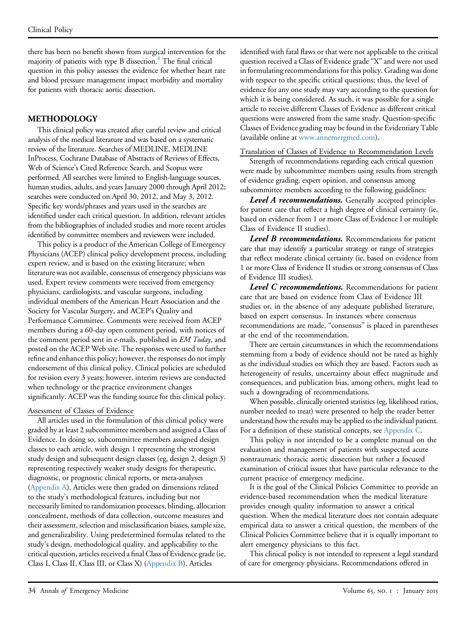there has been no benefit shown from surgical intervention for the majority of patients with type B dissection.<sup>8</sup> The final critical question in this policy assesses the evidence for whether heart rate and blood pressure management impact morbidity and mortality for patients with thoracic aortic dissection.

# METHODOLOGY

This clinical policy was created after careful review and critical analysis of the medical literature and was based on a systematic review of the literature. Searches of MEDLINE, MEDLINE InProcess, Cochrane Database of Abstracts of Reviews of Effects, Web of Science's Cited Reference Search, and Scopus were performed. All searches were limited to English-language sources, human studies, adults, and years January 2000 through April 2012; searches were conducted on April 30, 2012, and May 3, 2012. Specific key words/phrases and years used in the searches are identified under each critical question. In addition, relevant articles from the bibliographies of included studies and more recent articles identified by committee members and reviewers were included.

This policy is a product of the American College of Emergency Physicians (ACEP) clinical policy development process, including expert review, and is based on the existing literature; when literature was not available, consensus of emergency physicians was used. Expert review comments were received from emergency physicians, cardiologists, and vascular surgeons, including individual members of the American Heart Association and the Society for Vascular Surgery, and ACEP's Quality and Performance Committee. Comments were received from ACEP members during a 60-day open comment period, with notices of the comment period sent in e-mails, published in EM Today, and posted on the ACEP Web site. The responses were used to further refine and enhance this policy; however, the responses do not imply endorsement of this clinical policy. Clinical policies are scheduled for revision every 3 years; however, interim reviews are conducted when technology or the practice environment changes significantly. ACEP was the funding source for this clinical policy.

# Assessment of Classes of Evidence

All articles used in the formulation of this clinical policy were graded by at least 2 subcommittee members and assigned a Class of Evidence. In doing so, subcommittee members assigned design classes to each article, with design 1 representing the strongest study design and subsequent design classes (eg, design 2, design 3) representing respectively weaker study designs for therapeutic, diagnostic, or prognostic clinical reports, or meta-analyses (Appendix A). Articles were then graded on dimensions related to the study's methodological features, including but not necessarily limited to randomization processes, blinding, allocation concealment, methods of data collection, outcome measures and their assessment, selection and misclassification biases, sample size, and generalizability. Using predetermined formulas related to the study's design, methodological quality, and applicability to the critical question, articles received a final Class of Evidence grade (ie, Class I, Class II, Class III, or Class X) (Appendix B). Articles

identified with fatal flaws or that were not applicable to the critical question received a Class of Evidence grade "X" and were not used in formulating recommendations for this policy. Grading was done with respect to the specific critical questions; thus, the level of evidence for any one study may vary according to the question for which it is being considered. As such, it was possible for a single article to receive different Classes of Evidence as different critical questions were answered from the same study. Question-specific Classes of Evidence grading may be found in the Evidentiary Table (available online at [www.annemergmed.com\)](http://www.annemergmed.com).

# Translation of Classes of Evidence to Recommendation Levels

Strength of recommendations regarding each critical question were made by subcommittee members using results from strength of evidence grading, expert opinion, and consensus among subcommittee members according to the following guidelines:

Level A recommendations. Generally accepted principles for patient care that reflect a high degree of clinical certainty (ie, based on evidence from 1 or more Class of Evidence I or multiple Class of Evidence II studies).

Level B recommendations. Recommendations for patient care that may identify a particular strategy or range of strategies that reflect moderate clinical certainty (ie, based on evidence from 1 or more Class of Evidence II studies or strong consensus of Class of Evidence III studies).

Level C recommendations. Recommendations for patient care that are based on evidence from Class of Evidence III studies or, in the absence of any adequate published literature, based on expert consensus. In instances where consensus recommendations are made, "consensus" is placed in parentheses at the end of the recommendation.

There are certain circumstances in which the recommendations stemming from a body of evidence should not be rated as highly as the individual studies on which they are based. Factors such as heterogeneity of results, uncertainty about effect magnitude and consequences, and publication bias, among others, might lead to such a downgrading of recommendations.

When possible, clinically oriented statistics (eg, likelihood ratios, number needed to treat) were presented to help the reader better understand how the results may be applied to the individual patient. For a definition of these statistical concepts, see Appendix C.

This policy is not intended to be a complete manual on the evaluation and management of patients with suspected acute nontraumatic thoracic aortic dissection but rather a focused examination of critical issues that have particular relevance to the current practice of emergency medicine.

It is the goal of the Clinical Policies Committee to provide an evidence-based recommendation when the medical literature provides enough quality information to answer a critical question. When the medical literature does not contain adequate empirical data to answer a critical question, the members of the Clinical Policies Committee believe that it is equally important to alert emergency physicians to this fact.

This clinical policy is not intended to represent a legal standard of care for emergency physicians. Recommendations offered in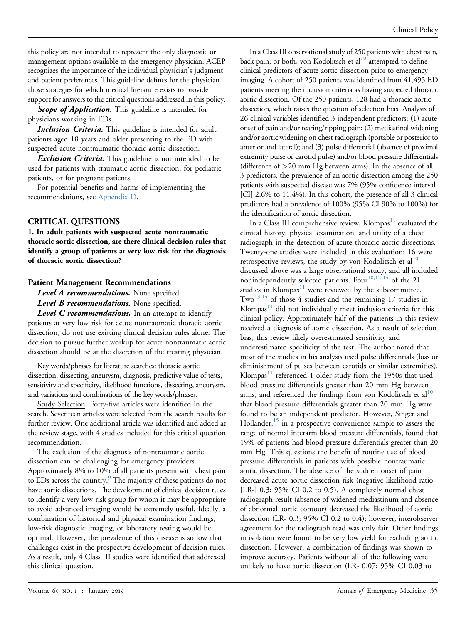this policy are not intended to represent the only diagnostic or management options available to the emergency physician. ACEP recognizes the importance of the individual physician's judgment and patient preferences. This guideline defines for the physician those strategies for which medical literature exists to provide support for answers to the critical questions addressed in this policy.

**Scope of Application.** This guideline is intended for physicians working in EDs.

Inclusion Criteria. This guideline is intended for adult patients aged 18 years and older presenting to the ED with suspected acute nontraumatic thoracic aortic dissection.

**Exclusion Criteria.** This guideline is not intended to be used for patients with traumatic aortic dissection, for pediatric patients, or for pregnant patients.

For potential benefits and harms of implementing the recommendations, see Appendix D.

# CRITICAL QUESTIONS

1. In adult patients with suspected acute nontraumatic thoracic aortic dissection, are there clinical decision rules that identify a group of patients at very low risk for the diagnosis of thoracic aortic dissection?

# Patient Management Recommendations

Level A recommendations. None specified. Level B recommendations. None specified.

**Level C recommendations.** In an attempt to identify patients at very low risk for acute nontraumatic thoracic aortic dissection, do not use existing clinical decision rules alone. The decision to pursue further workup for acute nontraumatic aortic dissection should be at the discretion of the treating physician.

Key words/phrases for literature searches: thoracic aortic dissection, dissecting, aneurysm, diagnosis, predictive value of tests, sensitivity and specificity, likelihood functions, dissecting, aneurysm, and variations and combinations of the key words/phrases.

Study Selection: Forty-five articles were identified in the search. Seventeen articles were selected from the search results for further review. One additional article was identified and added at the review stage, with 4 studies included for this critical question recommendation.

The exclusion of the diagnosis of nontraumatic aortic dissection can be challenging for emergency providers. Approximately 8% to 10% of all patients present with chest pain to EDs across the country.<sup>[9](#page-7-8)</sup> The majority of these patients do not have aortic dissections. The development of clinical decision rules to identify a very-low-risk group for whom it may be appropriate to avoid advanced imaging would be extremely useful. Ideally, a combination of historical and physical examination findings, low-risk diagnostic imaging, or laboratory testing would be optimal. However, the prevalence of this disease is so low that challenges exist in the prospective development of decision rules. As a result, only 4 Class III studies were identified that addressed this clinical question.

In a Class III observational study of 250 patients with chest pain, back pain, or both, von Kodolitsch et al $10$  attempted to define clinical predictors of acute aortic dissection prior to emergency imaging. A cohort of 250 patients was identified from 41,495 ED patients meeting the inclusion criteria as having suspected thoracic aortic dissection. Of the 250 patients, 128 had a thoracic aortic dissection, which raises the question of selection bias. Analysis of 26 clinical variables identified 3 independent predictors: (1) acute onset of pain and/or tearing/ripping pain; (2) mediastinal widening and/or aortic widening on chest radiograph (portable or posterior to anterior and lateral); and (3) pulse differential (absence of proximal extremity pulse or carotid pulse) and/or blood pressure differentials (difference of >20 mm Hg between arms). In the absence of all 3 predictors, the prevalence of an aortic dissection among the 250 patients with suspected disease was 7% (95% confidence interval [CI] 2.6% to 11.4%). In this cohort, the presence of all 3 clinical predictors had a prevalence of 100% (95% CI 90% to 100%) for the identification of aortic dissection.

In a Class III comprehensive review, Klompas $^{11}$  $^{11}$  $^{11}$  evaluated the clinical history, physical examination, and utility of a chest radiograph in the detection of acute thoracic aortic dissections. Twenty-one studies were included in this evaluation: 16 were retrospective reviews, the study by von Kodolitsch et al<sup>[10](#page-7-9)</sup> discussed above was a large observational study, and all included nonindependently selected patients. Four<sup>[10,12-14](#page-7-9)</sup> of the 21 studies in  $Klompas<sup>11</sup>$  $Klompas<sup>11</sup>$  $Klompas<sup>11</sup>$  were reviewed by the subcommittee.  $Two<sup>13,14</sup>$  $Two<sup>13,14</sup>$  $Two<sup>13,14</sup>$  of those 4 studies and the remaining 17 studies in  $K$ lompas $11$  did not individually meet inclusion criteria for this clinical policy. Approximately half of the patients in this review received a diagnosis of aortic dissection. As a result of selection bias, this review likely overestimated sensitivity and underestimated specificity of the test. The author noted that most of the studies in his analysis used pulse differentials (loss or diminishment of pulses between carotids or similar extremities). Klompas $11$  referenced 1 older study from the 1950s that used blood pressure differentials greater than 20 mm Hg between arms, and referenced the findings from von Kodolitsch et  $al<sup>10</sup>$  $al<sup>10</sup>$  $al<sup>10</sup>$ that blood pressure differentials greater than 20 mm Hg were found to be an independent predictor. However, Singer and Hollander,<sup>[15](#page-7-12)</sup> in a prospective convenience sample to assess the range of normal interarm blood pressure differentials, found that 19% of patients had blood pressure differentials greater than 20 mm Hg. This questions the benefit of routine use of blood pressure differentials in patients with possible nontraumatic aortic dissection. The absence of the sudden onset of pain decreased acute aortic dissection risk (negative likelihood ratio [LR-] 0.3; 95% CI 0.2 to 0.5). A completely normal chest radiograph result (absence of widened mediastinum and absence of abnormal aortic contour) decreased the likelihood of aortic dissection (LR- 0.3; 95% CI 0.2 to 0.4); however, interobserver agreement for the radiograph read was only fair. Other findings in isolation were found to be very low yield for excluding aortic dissection. However, a combination of findings was shown to improve accuracy. Patients without all of the following were unlikely to have aortic dissection (LR- 0.07; 95% CI 0.03 to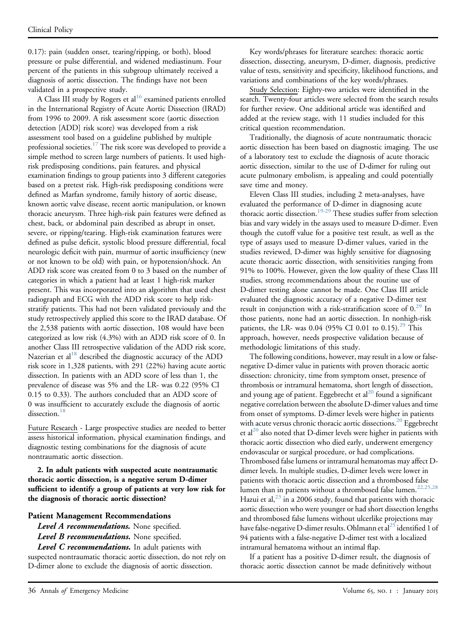0.17): pain (sudden onset, tearing/ripping, or both), blood pressure or pulse differential, and widened mediastinum. Four percent of the patients in this subgroup ultimately received a diagnosis of aortic dissection. The findings have not been validated in a prospective study.

A Class III study by Rogers et al<sup>[16](#page-7-13)</sup> examined patients enrolled in the International Registry of Acute Aortic Dissection (IRAD) from 1996 to 2009. A risk assessment score (aortic dissection detection [ADD] risk score) was developed from a risk assessment tool based on a guideline published by multiple professional societies.<sup>[17](#page-7-14)</sup> The risk score was developed to provide a simple method to screen large numbers of patients. It used highrisk predisposing conditions, pain features, and physical examination findings to group patients into 3 different categories based on a pretest risk. High-risk predisposing conditions were defined as Marfan syndrome, family history of aortic disease, known aortic valve disease, recent aortic manipulation, or known thoracic aneurysm. Three high-risk pain features were defined as chest, back, or abdominal pain described as abrupt in onset, severe, or ripping/tearing. High-risk examination features were defined as pulse deficit, systolic blood pressure differential, focal neurologic deficit with pain, murmur of aortic insufficiency (new or not known to be old) with pain, or hypotension/shock. An ADD risk score was created from 0 to 3 based on the number of categories in which a patient had at least 1 high-risk marker present. This was incorporated into an algorithm that used chest radiograph and ECG with the ADD risk score to help riskstratify patients. This had not been validated previously and the study retrospectively applied this score to the IRAD database. Of the 2,538 patients with aortic dissection, 108 would have been categorized as low risk (4.3%) with an ADD risk score of 0. In another Class III retrospective validation of the ADD risk score, Nazerian et al<sup>[18](#page-7-15)</sup> described the diagnostic accuracy of the ADD risk score in 1,328 patients, with 291 (22%) having acute aortic dissection. In patients with an ADD score of less than 1, the prevalence of disease was 5% and the LR- was 0.22 (95% CI 0.15 to 0.33). The authors concluded that an ADD score of 0 was insufficient to accurately exclude the diagnosis of aortic dissection.<sup>[18](#page-7-15)</sup>

Future Research - Large prospective studies are needed to better assess historical information, physical examination findings, and diagnostic testing combinations for the diagnosis of acute nontraumatic aortic dissection.

2. In adult patients with suspected acute nontraumatic thoracic aortic dissection, is a negative serum D-dimer sufficient to identify a group of patients at very low risk for the diagnosis of thoracic aortic dissection?

# Patient Management Recommendations

Level A recommendations. None specified. Level B recommendations. None specified.

Level C recommendations. In adult patients with suspected nontraumatic thoracic aortic dissection, do not rely on D-dimer alone to exclude the diagnosis of aortic dissection.

Key words/phrases for literature searches: thoracic aortic dissection, dissecting, aneurysm, D-dimer, diagnosis, predictive value of tests, sensitivity and specificity, likelihood functions, and variations and combinations of the key words/phrases.

Study Selection: Eighty-two articles were identified in the search. Twenty-four articles were selected from the search results for further review. One additional article was identified and added at the review stage, with 11 studies included for this critical question recommendation.

Traditionally, the diagnosis of acute nontraumatic thoracic aortic dissection has been based on diagnostic imaging. The use of a laboratory test to exclude the diagnosis of acute thoracic aortic dissection, similar to the use of D-dimer for ruling out acute pulmonary embolism, is appealing and could potentially save time and money.

Eleven Class III studies, including 2 meta-analyses, have evaluated the performance of D-dimer in diagnosing acute thoracic aortic dissection.<sup>[19-29](#page-7-16)</sup> These studies suffer from selection bias and vary widely in the assays used to measure D-dimer. Even though the cutoff value for a positive test result, as well as the type of assays used to measure D-dimer values, varied in the studies reviewed, D-dimer was highly sensitive for diagnosing acute thoracic aortic dissection, with sensitivities ranging from 91% to 100%. However, given the low quality of these Class III studies, strong recommendations about the routine use of D-dimer testing alone cannot be made. One Class III article evaluated the diagnostic accuracy of a negative D-dimer test result in conjunction with a risk-stratification score of 0.<sup>[29](#page-7-17)</sup> In those patients, none had an aortic dissection. In nonhigh-risk patients, the LR- was 0.04 (95% CI 0.01 to 0.15).<sup>[29](#page-7-17)</sup> This approach, however, needs prospective validation because of methodologic limitations of this study.

The following conditions, however, may result in a low or falsenegative D-dimer value in patients with proven thoracic aortic dissection: chronicity, time from symptom onset, presence of thrombosis or intramural hematoma, short length of dissection, and young age of patient. Eggebrecht et al<sup>[20](#page-7-18)</sup> found a significant negative correlation between the absolute D-dimer values and time from onset of symptoms. D-dimer levels were higher in patients with acute versus chronic thoracic aortic dissections.<sup>[20](#page-7-18)</sup> Eggebrecht et al<sup>[20](#page-7-18)</sup> also noted that D-dimer levels were higher in patients with thoracic aortic dissection who died early, underwent emergency endovascular or surgical procedure, or had complications. Thrombosed false lumens or intramural hematomas may affect Ddimer levels. In multiple studies, D-dimer levels were lower in patients with thoracic aortic dissection and a thrombosed false lumen than in patients without a thrombosed false lumen.<sup>[22,25,28](#page-7-19)</sup> Hazui et al, $^{23}$  $^{23}$  $^{23}$  in a 2006 study, found that patients with thoracic aortic dissection who were younger or had short dissection lengths and thrombosed false lumens without ulcerlike projections may have false-negative D-dimer results. Ohlmann et al<sup>[25](#page-7-21)</sup> identified 1 of 94 patients with a false-negative D-dimer test with a localized intramural hematoma without an intimal flap.

If a patient has a positive D-dimer result, the diagnosis of thoracic aortic dissection cannot be made definitively without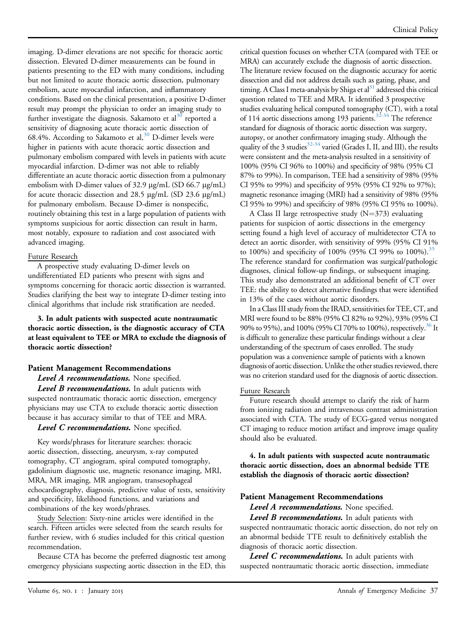imaging. D-dimer elevations are not specific for thoracic aortic dissection. Elevated D-dimer measurements can be found in patients presenting to the ED with many conditions, including but not limited to acute thoracic aortic dissection, pulmonary embolism, acute myocardial infarction, and inflammatory conditions. Based on the clinical presentation, a positive D-dimer result may prompt the physician to order an imaging study to further investigate the diagnosis. Sakamoto et al<sup>[30](#page-7-22)</sup> reported a sensitivity of diagnosing acute thoracic aortic dissection of 68.4%. According to Sakamoto et al,  $30$  D-dimer levels were higher in patients with acute thoracic aortic dissection and pulmonary embolism compared with levels in patients with acute myocardial infarction. D-dimer was not able to reliably differentiate an acute thoracic aortic dissection from a pulmonary embolism with D-dimer values of  $32.9 \mu g/mL$  (SD 66.7  $\mu g/mL$ ) for acute thoracic dissection and 28.5 µg/mL (SD 23.6 µg/mL) for pulmonary embolism. Because D-dimer is nonspecific, routinely obtaining this test in a large population of patients with symptoms suspicious for aortic dissection can result in harm, most notably, exposure to radiation and cost associated with advanced imaging.

# Future Research

A prospective study evaluating D-dimer levels on undifferentiated ED patients who present with signs and symptoms concerning for thoracic aortic dissection is warranted. Studies clarifying the best way to integrate D-dimer testing into clinical algorithms that include risk stratification are needed.

3. In adult patients with suspected acute nontraumatic thoracic aortic dissection, is the diagnostic accuracy of CTA at least equivalent to TEE or MRA to exclude the diagnosis of thoracic aortic dissection?

# Patient Management Recommendations

Level A recommendations. None specified.

Level B recommendations. In adult patients with suspected nontraumatic thoracic aortic dissection, emergency physicians may use CTA to exclude thoracic aortic dissection because it has accuracy similar to that of TEE and MRA.

# Level C recommendations. None specified.

Key words/phrases for literature searches: thoracic aortic dissection, dissecting, aneurysm, x-ray computed tomography, CT angiogram, spiral computed tomography, gadolinium diagnostic use, magnetic resonance imaging, MRI, MRA, MR imaging, MR angiogram, transesophageal echocardiography, diagnosis, predictive value of tests, sensitivity and specificity, likelihood functions, and variations and combinations of the key words/phrases.

Study Selection: Sixty-nine articles were identified in the search. Fifteen articles were selected from the search results for further review, with 6 studies included for this critical question recommendation.

Because CTA has become the preferred diagnostic test among emergency physicians suspecting aortic dissection in the ED, this

critical question focuses on whether CTA (compared with TEE or MRA) can accurately exclude the diagnosis of aortic dissection. The literature review focused on the diagnostic accuracy for aortic dissection and did not address details such as gating, phase, and timing. A Class I meta-analysis by Shiga et al<sup>31</sup> addressed this critical question related to TEE and MRA. It identified 3 prospective studies evaluating helical computed tomography (CT), with a total of 114 aortic dissections among 193 patients.<sup>[32-34](#page-7-24)</sup> The reference standard for diagnosis of thoracic aortic dissection was surgery, autopsy, or another confirmatory imaging study. Although the quality of the 3 studies<sup>32-34</sup> varied (Grades I, II, and III), the results were consistent and the meta-analysis resulted in a sensitivity of 100% (95% CI 96% to 100%) and specificity of 98% (95% CI 87% to 99%). In comparison, TEE had a sensitivity of 98% (95% CI 95% to 99%) and specificity of 95% (95% CI 92% to 97%); magnetic resonance imaging (MRI) had a sensitivity of 98% (95% CI 95% to 99%) and specificity of 98% (95% CI 95% to 100%).

A Class II large retrospective study  $(N=373)$  evaluating patients for suspicion of aortic dissections in the emergency setting found a high level of accuracy of multidetector CTA to detect an aortic disorder, with sensitivity of 99% (95% CI 91% to 100%) and specificity of 100% (95% CI 99% to 100%).<sup>[35](#page-8-0)</sup> The reference standard for confirmation was surgical/pathologic diagnoses, clinical follow-up findings, or subsequent imaging. This study also demonstrated an additional benefit of CT over TEE: the ability to detect alternative findings that were identified in 13% of the cases without aortic disorders.

In a Class III study from the IRAD, sensitivities for TEE, CT, and MRI were found to be 88% (95% CI 82% to 92%), 93% (95% CI 90% to 95%), and 100% (95% CI 70% to 100%), respectively.<sup>[36](#page-8-1)</sup> It is difficult to generalize these particular findings without a clear understanding of the spectrum of cases enrolled. The study population was a convenience sample of patients with a known diagnosis of aortic dissection. Unlike the other studies reviewed, there was no criterion standard used for the diagnosis of aortic dissection.

# Future Research

Future research should attempt to clarify the risk of harm from ionizing radiation and intravenous contrast administration associated with CTA. The study of ECG-gated versus nongated CT imaging to reduce motion artifact and improve image quality should also be evaluated.

4. In adult patients with suspected acute nontraumatic thoracic aortic dissection, does an abnormal bedside TTE establish the diagnosis of thoracic aortic dissection?

# Patient Management Recommendations

Level A recommendations. None specified.

Level B recommendations. In adult patients with suspected nontraumatic thoracic aortic dissection, do not rely on an abnormal bedside TTE result to definitively establish the diagnosis of thoracic aortic dissection.

Level C recommendations. In adult patients with suspected nontraumatic thoracic aortic dissection, immediate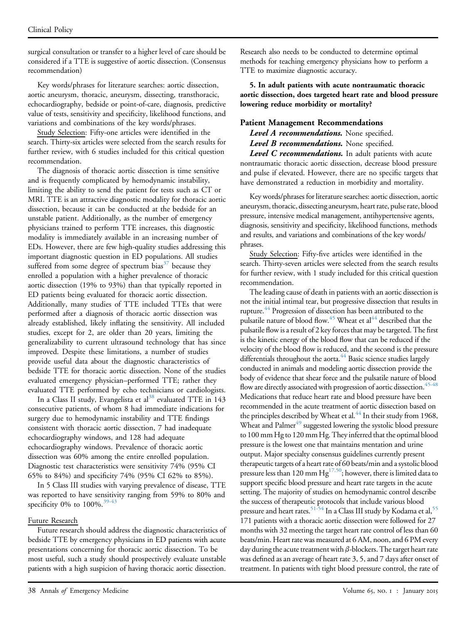surgical consultation or transfer to a higher level of care should be considered if a TTE is suggestive of aortic dissection. (Consensus recommendation)

Key words/phrases for literature searches: aortic dissection, aortic aneurysm, thoracic, aneurysm, dissecting, transthoracic, echocardiography, bedside or point-of-care, diagnosis, predictive value of tests, sensitivity and specificity, likelihood functions, and variations and combinations of the key words/phrases.

Study Selection: Fifty-one articles were identified in the search. Thirty-six articles were selected from the search results for further review, with 6 studies included for this critical question recommendation.

The diagnosis of thoracic aortic dissection is time sensitive and is frequently complicated by hemodynamic instability, limiting the ability to send the patient for tests such as CT or MRI. TTE is an attractive diagnostic modality for thoracic aortic dissection, because it can be conducted at the bedside for an unstable patient. Additionally, as the number of emergency physicians trained to perform TTE increases, this diagnostic modality is immediately available in an increasing number of EDs. However, there are few high-quality studies addressing this important diagnostic question in ED populations. All studies suffered from some degree of spectrum bias $37$  because they enrolled a population with a higher prevalence of thoracic aortic dissection (19% to 93%) than that typically reported in ED patients being evaluated for thoracic aortic dissection. Additionally, many studies of TTE included TTEs that were performed after a diagnosis of thoracic aortic dissection was already established, likely inflating the sensitivity. All included studies, except for 2, are older than 20 years, limiting the generalizability to current ultrasound technology that has since improved. Despite these limitations, a number of studies provide useful data about the diagnostic characteristics of bedside TTE for thoracic aortic dissection. None of the studies evaluated emergency physician–performed TTE; rather they evaluated TTE performed by echo technicians or cardiologists.

In a Class II study, Evangelista et al<sup>[38](#page-8-3)</sup> evaluated TTE in 143 consecutive patients, of whom 8 had immediate indications for surgery due to hemodynamic instability and TTE findings consistent with thoracic aortic dissection, 7 had inadequate echocardiography windows, and 128 had adequate echocardiography windows. Prevalence of thoracic aortic dissection was 60% among the entire enrolled population. Diagnostic test characteristics were sensitivity 74% (95% CI 65% to 84%) and specificity 74% (95% CI 62% to 85%).

In 5 Class III studies with varying prevalence of disease, TTE was reported to have sensitivity ranging from 59% to 80% and specificity 0% to 100%.<sup>[39-43](#page-8-4)</sup>

#### Future Research

Future research should address the diagnostic characteristics of bedside TTE by emergency physicians in ED patients with acute presentations concerning for thoracic aortic dissection. To be most useful, such a study should prospectively evaluate unstable patients with a high suspicion of having thoracic aortic dissection.

Research also needs to be conducted to determine optimal methods for teaching emergency physicians how to perform a TTE to maximize diagnostic accuracy.

5. In adult patients with acute nontraumatic thoracic aortic dissection, does targeted heart rate and blood pressure lowering reduce morbidity or mortality?

# Patient Management Recommendations

Level A recommendations. None specified. Level B recommendations. None specified.

Level C recommendations. In adult patients with acute nontraumatic thoracic aortic dissection, decrease blood pressure and pulse if elevated. However, there are no specific targets that have demonstrated a reduction in morbidity and mortality.

Key words/phrases for literature searches: aortic dissection, aortic aneurysm, thoracic, dissecting aneurysm, heart rate, pulse rate, blood pressure, intensive medical management, antihypertensive agents, diagnosis, sensitivity and specificity, likelihood functions, methods and results, and variations and combinations of the key words/ phrases.

Study Selection: Fifty-five articles were identified in the search. Thirty-seven articles were selected from the search results for further review, with 1 study included for this critical question recommendation.

The leading cause of death in patients with an aortic dissection is not the initial intimal tear, but progressive dissection that results in rupture.<sup>[44](#page-8-5)</sup> Progression of dissection has been attributed to the pulsatile nature of blood flow.<sup>45</sup> Wheat et al<sup>44</sup> described that the pulsatile flow is a result of 2 key forces that may be targeted. The first is the kinetic energy of the blood flow that can be reduced if the velocity of the blood flow is reduced, and the second is the pressure differentials throughout the aorta.<sup>44</sup> Basic science studies largely conducted in animals and modeling aortic dissection provide the body of evidence that shear force and the pulsatile nature of blood flow are directly associated with progression of aortic dissection.<sup>45-48</sup> Medications that reduce heart rate and blood pressure have been recommended in the acute treatment of aortic dissection based on the principles described by Wheat et al.<sup>44</sup> In their study from 1968, Wheat and Palmer<sup>49</sup> suggested lowering the systolic blood pressure to 100 mm Hg to 120 mm Hg. They inferred that the optimal blood pressure is the lowest one that maintains mentation and urine output. Major specialty consensus guidelines currently present therapeutic targets of a heart rate of 60 beats/min and a systolic blood pressure less than 120 mm  $Hg^{17,50}$ ; however, there is limited data to support specific blood pressure and heart rate targets in the acute setting. The majority of studies on hemodynamic control describe the success of therapeutic protocols that include various blood pressure and heart rates.<sup>[51-54](#page-8-8)</sup> In a Class III study by Kodama et al,<sup>[55](#page-8-9)</sup> 171 patients with a thoracic aortic dissection were followed for 27 months with 32 meeting the target heart rate control of less than 60 beats/min. Heart rate was measured at 6 AM, noon, and 6 PM every day during the acute treatment with  $\beta$ -blockers. The target heart rate was defined as an average of heart rate 3, 5, and 7 days after onset of treatment. In patients with tight blood pressure control, the rate of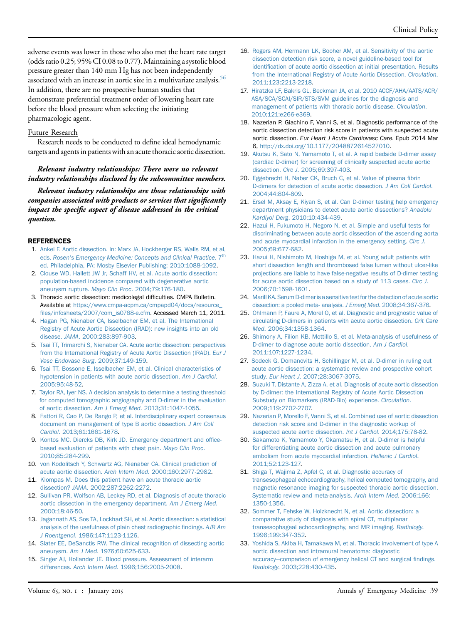adverse events was lower in those who also met the heart rate target (odds ratio 0.25; 95% CI 0.08 to 0.77). Maintaining a systolic blood pressure greater than 140 mm Hg has not been independently associated with an increase in aortic size in a multivariate analysis.<sup>56</sup> In addition, there are no prospective human studies that demonstrate preferential treatment order of lowering heart rate before the blood pressure when selecting the initiating pharmacologic agent.

### Future Research

Research needs to be conducted to define ideal hemodynamic targets and agents in patients with an acute thoracic aortic dissection.

### Relevant industry relationships: There were no relevant industry relationships disclosed by the subcommittee members.

Relevant industry relationships are those relationships with companies associated with products or services that significantly impact the specific aspect of disease addressed in the critical question.

#### <span id="page-7-0"></span>REFERENCES

- 1. [Ankel F. Aortic dissection. In: Marx JA, Hockberger RS, Walls RM, et al,](http://refhub.elsevier.com/S0196-0644(14)01478-4/sref1) ed[s](http://refhub.elsevier.com/S0196-0644(14)01478-4/sref1). Rosen's [Emergency](http://refhub.elsevier.com/S0196-0644(14)01478-4/sref1) [Medicine:](http://refhub.elsevier.com/S0196-0644(14)01478-4/sref1) [Concepts](http://refhub.elsevier.com/S0196-0644(14)01478-4/sref1) [and](http://refhub.elsevier.com/S0196-0644(14)01478-4/sref1) [Clinical](http://refhub.elsevier.com/S0196-0644(14)01478-4/sref1) [Practice](http://refhub.elsevier.com/S0196-0644(14)01478-4/sref1). 7<sup>th</sup> [ed. Philadelphia, PA: Mosby Elsevier Publishing; 2010:1088-1092.](http://refhub.elsevier.com/S0196-0644(14)01478-4/sref1)
- <span id="page-7-1"></span>2. [Clouse WD, Hallett JW Jr, Schaff HV, et al. Acute aortic dissection:](http://refhub.elsevier.com/S0196-0644(14)01478-4/sref2) [population-based incidence compared with degenerative aortic](http://refhub.elsevier.com/S0196-0644(14)01478-4/sref2) aneurysm rupture. Mayo Clin Proc[. 2004;79:176-180](http://refhub.elsevier.com/S0196-0644(14)01478-4/sref2).
- <span id="page-7-2"></span>3. Thoracic aortic dissection: medicolegal difficulties. CMPA Bulletin. Available at [https://www.cmpa-acpm.ca/cmpapd04/docs/resource\\_](https://www.cmpa-acpm.ca/cmpapd04/docs/resource_files/infosheets/2007/com_is0768-e.cfm) fi[les/infosheets/2007/com\\_is0768-e.cfm.](https://www.cmpa-acpm.ca/cmpapd04/docs/resource_files/infosheets/2007/com_is0768-e.cfm) Accessed March 11, 2011.
- <span id="page-7-3"></span>4. [Hagan PG, Nienaber CA, Isselbacher EM, et al. The International](http://refhub.elsevier.com/S0196-0644(14)01478-4/sref3) [Registry of Acute Aortic Dissection \(IRAD\): new insights into an old](http://refhub.elsevier.com/S0196-0644(14)01478-4/sref3) disease. JAMA[. 2000;283:897-903](http://refhub.elsevier.com/S0196-0644(14)01478-4/sref3).
- <span id="page-7-4"></span>5. [Tsai TT, Trimarchi S, Nienaber CA. Acute aortic dissection: perspectives](http://refhub.elsevier.com/S0196-0644(14)01478-4/sref4) [from the International Registry of Acute Aortic Dissection \(IRAD\).](http://refhub.elsevier.com/S0196-0644(14)01478-4/sref4) Eur J [Vasc Endovasc Surg](http://refhub.elsevier.com/S0196-0644(14)01478-4/sref4). 2009;37:149-159.
- <span id="page-7-5"></span>6. [Tsai TT, Bossone E, Isselbacher EM, et al. Clinical characteristics of](http://refhub.elsevier.com/S0196-0644(14)01478-4/sref5) [hypotension in patients with acute aortic dissection.](http://refhub.elsevier.com/S0196-0644(14)01478-4/sref5) Am J Cardiol. [2005;95:48-52.](http://refhub.elsevier.com/S0196-0644(14)01478-4/sref5)
- <span id="page-7-6"></span>7. [Taylor RA, Iyer NS. A decision analysis to determine a testing threshold](http://refhub.elsevier.com/S0196-0644(14)01478-4/sref6) [for computed tomographic angiography and D-dimer in the evaluation](http://refhub.elsevier.com/S0196-0644(14)01478-4/sref6) of aortic dissection. Am J Emerg Med[. 2013;31:1047-1055](http://refhub.elsevier.com/S0196-0644(14)01478-4/sref6).
- <span id="page-7-7"></span>8. [Fattori R, Cao P, De Rango P, et al. Interdisciplinary expert consensus](http://refhub.elsevier.com/S0196-0644(14)01478-4/sref7) [document on management of type B aortic dissection.](http://refhub.elsevier.com/S0196-0644(14)01478-4/sref7) J Am Coll Cardiol[. 2013;61:1661-1678.](http://refhub.elsevier.com/S0196-0644(14)01478-4/sref7)
- <span id="page-7-8"></span>9. [Kontos MC, Diercks DB, Kirk JD. Emergency department and of](http://refhub.elsevier.com/S0196-0644(14)01478-4/sref8)fice[based evaluation of patients with chest pain.](http://refhub.elsevier.com/S0196-0644(14)01478-4/sref8) Mayo Clin Proc. [2010;85:284-299.](http://refhub.elsevier.com/S0196-0644(14)01478-4/sref8)
- <span id="page-7-9"></span>10. [von Kodolitsch Y, Schwartz AG, Nienaber CA. Clinical prediction of](http://refhub.elsevier.com/S0196-0644(14)01478-4/sref9) acute aortic dissection. Arch Intern Med[. 2000;160:2977-2982](http://refhub.elsevier.com/S0196-0644(14)01478-4/sref9).
- <span id="page-7-10"></span>11. [Klompas M. Does this patient have an acute thoracic aortic](http://refhub.elsevier.com/S0196-0644(14)01478-4/sref10) dissection? JAMA[. 2002;287:2262-2272.](http://refhub.elsevier.com/S0196-0644(14)01478-4/sref10)
- 12. [Sullivan PR, Wolfson AB, Leckey RD, et al. Diagnosis of acute thoracic](http://refhub.elsevier.com/S0196-0644(14)01478-4/sref11) [aortic dissection in the emergency department.](http://refhub.elsevier.com/S0196-0644(14)01478-4/sref11) Am J Emerg Med. [2000;18:46-50](http://refhub.elsevier.com/S0196-0644(14)01478-4/sref11).
- <span id="page-7-11"></span>13. [Jagannath AS, Sos TA, Lockhart SH, et al. Aortic dissection: a statistical](http://refhub.elsevier.com/S0196-0644(14)01478-4/sref12) [analysis of the usefulness of plain chest radiographic](http://refhub.elsevier.com/S0196-0644(14)01478-4/sref12) findings. AJR Am J Roentgenol[. 1986;147:1123-1126](http://refhub.elsevier.com/S0196-0644(14)01478-4/sref12).
- 14. [Slater EE, DeSanctis RW. The clinical recognition of dissecting aortic](http://refhub.elsevier.com/S0196-0644(14)01478-4/sref13) aneurysm. Am J Med[. 1976;60:625-633.](http://refhub.elsevier.com/S0196-0644(14)01478-4/sref13)
- <span id="page-7-12"></span>15. [Singer AJ, Hollander JE. Blood pressure. Assessment of interarm](http://refhub.elsevier.com/S0196-0644(14)01478-4/sref14) differences. Arch Intern Med[. 1996;156:2005-2008.](http://refhub.elsevier.com/S0196-0644(14)01478-4/sref14)
- <span id="page-7-13"></span>16. [Rogers AM, Hermann LK, Booher AM, et al. Sensitivity of the aortic](http://refhub.elsevier.com/S0196-0644(14)01478-4/sref15) [dissection detection risk score, a novel guideline-based tool for](http://refhub.elsevier.com/S0196-0644(14)01478-4/sref15) identifi[cation of acute aortic dissection at initial presentation. Results](http://refhub.elsevier.com/S0196-0644(14)01478-4/sref15) [from the International Registry of Acute Aortic Dissection.](http://refhub.elsevier.com/S0196-0644(14)01478-4/sref15) Circulation. [2011;123:2213-2218.](http://refhub.elsevier.com/S0196-0644(14)01478-4/sref15)
- <span id="page-7-14"></span>17. [Hiratzka LF, Bakris GL, Beckman JA, et al. 2010 ACCF/AHA/AATS/ACR/](http://refhub.elsevier.com/S0196-0644(14)01478-4/sref16) [ASA/SCA/SCAI/SIR/STS/SVM guidelines for the diagnosis and](http://refhub.elsevier.com/S0196-0644(14)01478-4/sref16) [management of patients with thoracic aortic disease.](http://refhub.elsevier.com/S0196-0644(14)01478-4/sref16) Circulation. [2010;121:e266-e369](http://refhub.elsevier.com/S0196-0644(14)01478-4/sref16).
- <span id="page-7-15"></span>18. Nazerian P, Giachino F, Vanni S, et al. Diagnostic performance of the aortic dissection detection risk score in patients with suspected acute aortic dissection. Eur Heart J Acute Cardiovasc Care. Epub 2014 Mar 6, <http://dx.doi.org/10.1177/2048872614527010>.
- <span id="page-7-16"></span>19. [Akutsu K, Sato N, Yamamoto T, et al. A rapid bedside D-dimer assay](http://refhub.elsevier.com/S0196-0644(14)01478-4/sref17) [\(cardiac D-dimer\) for screening of clinically suspected acute aortic](http://refhub.elsevier.com/S0196-0644(14)01478-4/sref17) dissection. Circ J[. 2005;69:397-403](http://refhub.elsevier.com/S0196-0644(14)01478-4/sref17).
- <span id="page-7-18"></span>20. [Eggebrecht H, Naber CK, Bruch C, et al. Value of plasma](http://refhub.elsevier.com/S0196-0644(14)01478-4/sref18) fibrin [D-dimers for detection of acute aortic dissection.](http://refhub.elsevier.com/S0196-0644(14)01478-4/sref18) J Am Coll Cardiol. [2004;44:804-809.](http://refhub.elsevier.com/S0196-0644(14)01478-4/sref18)
- 21. [Ersel M, Aksay E, Kiyan S, et al. Can D-dimer testing help emergency](http://refhub.elsevier.com/S0196-0644(14)01478-4/sref19) [department physicians to detect acute aortic dissections?](http://refhub.elsevier.com/S0196-0644(14)01478-4/sref19) Anadolu Kardiyol Derg[. 2010;10:434-439.](http://refhub.elsevier.com/S0196-0644(14)01478-4/sref19)
- <span id="page-7-19"></span>22. [Hazui H, Fukumoto H, Negoro N, et al. Simple and useful tests for](http://refhub.elsevier.com/S0196-0644(14)01478-4/sref20) [discriminating between acute aortic dissection of the ascending aorta](http://refhub.elsevier.com/S0196-0644(14)01478-4/sref20) [and acute myocardial infarction in the emergency setting.](http://refhub.elsevier.com/S0196-0644(14)01478-4/sref20) Circ J. [2005;69:677-682.](http://refhub.elsevier.com/S0196-0644(14)01478-4/sref20)
- <span id="page-7-20"></span>23. [Hazui H, Nishimoto M, Hoshiga M, et al. Young adult patients with](http://refhub.elsevier.com/S0196-0644(14)01478-4/sref21) [short dissection length and thrombosed false lumen without ulcer-like](http://refhub.elsevier.com/S0196-0644(14)01478-4/sref21) [projections are liable to have false-negative results of D-dimer testing](http://refhub.elsevier.com/S0196-0644(14)01478-4/sref21) [for acute aortic dissection based on a study of 113 cases.](http://refhub.elsevier.com/S0196-0644(14)01478-4/sref21) Circ J. [2006;70:1598-1601](http://refhub.elsevier.com/S0196-0644(14)01478-4/sref21).
- 24. Marill KA. Serum D-dimer is a sensitive test for the detection of acute aortic [dissection: a pooled meta- analysis.](http://refhub.elsevier.com/S0196-0644(14)01478-4/sref22) J Emerg Med. 2008;34:367-376.
- <span id="page-7-21"></span>25. [Ohlmann P, Faure A, Morel O, et al. Diagnostic and prognostic value of](http://refhub.elsevier.com/S0196-0644(14)01478-4/sref23) [circulating D-dimers in patients with acute aortic dissection.](http://refhub.elsevier.com/S0196-0644(14)01478-4/sref23) Crit Care Med[. 2006;34:1358-1364](http://refhub.elsevier.com/S0196-0644(14)01478-4/sref23).
- 26. [Shimony A, Filion KB, Mottillo S, et al. Meta-analysis of usefulness of](http://refhub.elsevier.com/S0196-0644(14)01478-4/sref24) [D-dimer to diagnose acute aortic dissection.](http://refhub.elsevier.com/S0196-0644(14)01478-4/sref24) Am J Cardiol. [2011;107:1227-1234.](http://refhub.elsevier.com/S0196-0644(14)01478-4/sref24)
- 27. [Sodeck G, Domanovits H, Schillinger M, et al. D-dimer in ruling out](http://refhub.elsevier.com/S0196-0644(14)01478-4/sref25) [acute aortic dissection: a systematic review and prospective cohort](http://refhub.elsevier.com/S0196-0644(14)01478-4/sref25) study. Eur Heart J[. 2007;28:3067-3075.](http://refhub.elsevier.com/S0196-0644(14)01478-4/sref25)
- 28. [Suzuki T, Distante A, Zizza A, et al. Diagnosis of acute aortic dissection](http://refhub.elsevier.com/S0196-0644(14)01478-4/sref26) [by D-dimer: the International Registry of Acute Aortic Dissection](http://refhub.elsevier.com/S0196-0644(14)01478-4/sref26) [Substudy on Biomarkers \(IRAD-Bio\) experience.](http://refhub.elsevier.com/S0196-0644(14)01478-4/sref26) Circulation. [2009;119:2702-2707.](http://refhub.elsevier.com/S0196-0644(14)01478-4/sref26)
- <span id="page-7-17"></span>29. [Nazerian P, Morello F, Vanni S, et al. Combined use of aortic dissection](http://refhub.elsevier.com/S0196-0644(14)01478-4/sref27) [detection risk score and D-dimer in the diagnostic workup of](http://refhub.elsevier.com/S0196-0644(14)01478-4/sref27) [suspected acute aortic dissection.](http://refhub.elsevier.com/S0196-0644(14)01478-4/sref27) Int J Cardiol. 2014;175:78-82.
- <span id="page-7-22"></span>30. [Sakamoto K, Yamamoto Y, Okamatsu H, et al. D-dimer is helpful](http://refhub.elsevier.com/S0196-0644(14)01478-4/sref28) [for differentiating acute aortic dissection and acute pulmonary](http://refhub.elsevier.com/S0196-0644(14)01478-4/sref28) [embolism from acute myocardial infarction.](http://refhub.elsevier.com/S0196-0644(14)01478-4/sref28) Hellenic J Cardiol. [2011;52:123-127.](http://refhub.elsevier.com/S0196-0644(14)01478-4/sref28)
- <span id="page-7-23"></span>31. [Shiga T, Wajima Z, Apfel C, et al. Diagnostic accuracy of](http://refhub.elsevier.com/S0196-0644(14)01478-4/sref29) [transesophageal echocardiography, helical computed tomography, and](http://refhub.elsevier.com/S0196-0644(14)01478-4/sref29) [magnetic resonance imaging for suspected thoracic aortic dissection.](http://refhub.elsevier.com/S0196-0644(14)01478-4/sref29) [Systematic review and meta-analysis.](http://refhub.elsevier.com/S0196-0644(14)01478-4/sref29) Arch Intern Med. 2006;166: [1350-1356.](http://refhub.elsevier.com/S0196-0644(14)01478-4/sref29)
- <span id="page-7-24"></span>32. [Sommer T, Fehske W, Holzknecht N, et al. Aortic dissection: a](http://refhub.elsevier.com/S0196-0644(14)01478-4/sref30) [comparative study of diagnosis with spiral CT, multiplanar](http://refhub.elsevier.com/S0196-0644(14)01478-4/sref30) [transesophageal echocardiography, and MR imaging.](http://refhub.elsevier.com/S0196-0644(14)01478-4/sref30) Radiology. [1996;199:347-352.](http://refhub.elsevier.com/S0196-0644(14)01478-4/sref30)
- 33. [Yoshida S, Aklba H, Tamakawa M, et al. Thoracic involvement of type A](http://refhub.elsevier.com/S0196-0644(14)01478-4/sref31) [aortic dissection and intramural hematoma: diagnostic](http://refhub.elsevier.com/S0196-0644(14)01478-4/sref31) [accuracy](http://refhub.elsevier.com/S0196-0644(14)01478-4/sref31)—[comparison of emergency helical CT and surgical](http://refhub.elsevier.com/S0196-0644(14)01478-4/sref31) findings. Radiology[. 2003;228:430-435](http://refhub.elsevier.com/S0196-0644(14)01478-4/sref31).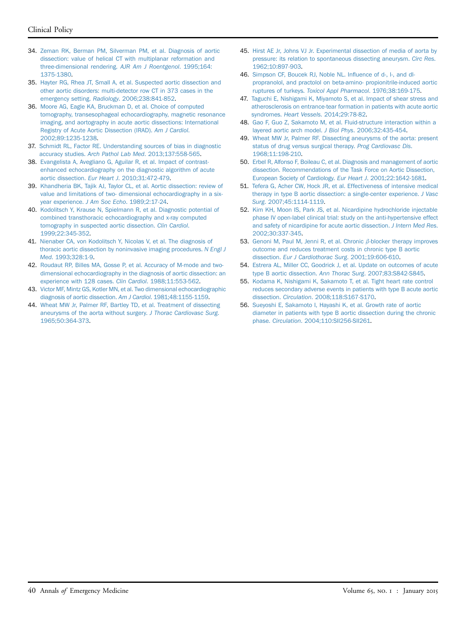- 34. [Zeman RK, Berman PM, Silverman PM, et al. Diagnosis of aortic](http://refhub.elsevier.com/S0196-0644(14)01478-4/sref32) [dissection: value of helical CT with multiplanar reformation and](http://refhub.elsevier.com/S0196-0644(14)01478-4/sref32) [three-dimensional rendering.](http://refhub.elsevier.com/S0196-0644(14)01478-4/sref32) AJR Am J Roentgenol. 1995;164: [1375-1380](http://refhub.elsevier.com/S0196-0644(14)01478-4/sref32).
- <span id="page-8-0"></span>35. [Hayter RG, Rhea JT, Small A, et al. Suspected aortic dissection and](http://refhub.elsevier.com/S0196-0644(14)01478-4/sref33) [other aortic disorders: multi-detector row CT in 373 cases in the](http://refhub.elsevier.com/S0196-0644(14)01478-4/sref33) emergency setting. Radiology[. 2006;238:841-852](http://refhub.elsevier.com/S0196-0644(14)01478-4/sref33).
- <span id="page-8-1"></span>36. [Moore AG, Eagle KA, Bruckman D, et al. Choice of computed](http://refhub.elsevier.com/S0196-0644(14)01478-4/sref34) [tomography, transesophageal echocardiography, magnetic resonance](http://refhub.elsevier.com/S0196-0644(14)01478-4/sref34) [imaging, and aortography in acute aortic dissections: International](http://refhub.elsevier.com/S0196-0644(14)01478-4/sref34) [Registry of Acute Aortic Dissection \(IRAD\).](http://refhub.elsevier.com/S0196-0644(14)01478-4/sref34) Am J Cardiol. [2002;89:1235-1238.](http://refhub.elsevier.com/S0196-0644(14)01478-4/sref34)
- <span id="page-8-2"></span>37. [Schmidt RL, Factor RE. Understanding sources of bias in diagnostic](http://refhub.elsevier.com/S0196-0644(14)01478-4/sref35) accuracy studies. [Arch Pathol Lab Med](http://refhub.elsevier.com/S0196-0644(14)01478-4/sref35). 2013;137:558-565.
- <span id="page-8-3"></span>38. [Evangelista A, Avegliano G, Aguilar R, et al. Impact of contrast](http://refhub.elsevier.com/S0196-0644(14)01478-4/sref36)[enhanced echocardiography on the diagnostic algorithm of acute](http://refhub.elsevier.com/S0196-0644(14)01478-4/sref36) aortic dissection. Eur Heart J[. 2010;31:472-479.](http://refhub.elsevier.com/S0196-0644(14)01478-4/sref36)
- <span id="page-8-4"></span>39. [Khandheria BK, Tajik AJ, Taylor CL, et al. Aortic dissection: review of](http://refhub.elsevier.com/S0196-0644(14)01478-4/sref37) [value and limitations of two- dimensional echocardiography in a six](http://refhub.elsevier.com/S0196-0644(14)01478-4/sref37)[year experience.](http://refhub.elsevier.com/S0196-0644(14)01478-4/sref37) J Am Soc Echo. 1989;2:17-24.
- 40. [Kodolitsch Y, Krause N, Spielmann R, et al. Diagnostic potential of](http://refhub.elsevier.com/S0196-0644(14)01478-4/sref38) [combined transthoracic echocardiography and x-ray computed](http://refhub.elsevier.com/S0196-0644(14)01478-4/sref38) [tomography in suspected aortic dissection.](http://refhub.elsevier.com/S0196-0644(14)01478-4/sref38) Clin Cardiol. [1999;22:345-352](http://refhub.elsevier.com/S0196-0644(14)01478-4/sref38).
- 41. [Nienaber CA, von Kodolitsch Y, Nicolas V, et al. The diagnosis of](http://refhub.elsevier.com/S0196-0644(14)01478-4/sref39) [thoracic aortic dissection by noninvasive imaging procedures.](http://refhub.elsevier.com/S0196-0644(14)01478-4/sref39) N Engl J Med[. 1993;328:1-9.](http://refhub.elsevier.com/S0196-0644(14)01478-4/sref39)
- 42. [Roudaut RP, Billes MA, Gosse P, et al. Accuracy of M-mode and two](http://refhub.elsevier.com/S0196-0644(14)01478-4/sref40)[dimensional echocardiography in the diagnosis of aortic dissection: an](http://refhub.elsevier.com/S0196-0644(14)01478-4/sref40) [experience with 128 cases.](http://refhub.elsevier.com/S0196-0644(14)01478-4/sref40) Clin Cardiol. 1988;11:553-562.
- 43. [Victor MF, Mintz GS, Kotler MN, et al. Two dimensional echocardiographic](http://refhub.elsevier.com/S0196-0644(14)01478-4/sref41) [diagnosis of aortic dissection.](http://refhub.elsevier.com/S0196-0644(14)01478-4/sref41) Am J Cardiol. 1981;48:1155-1159.
- <span id="page-8-5"></span>44. [Wheat MW Jr, Palmer RF, Bartley TD, et al. Treatment of dissecting](http://refhub.elsevier.com/S0196-0644(14)01478-4/sref42) [aneurysms of the aorta without surgery.](http://refhub.elsevier.com/S0196-0644(14)01478-4/sref42) J Thorac Cardiovasc Surg. [1965;50:364-373.](http://refhub.elsevier.com/S0196-0644(14)01478-4/sref42)
- <span id="page-8-6"></span>45. [Hirst AE Jr, Johns VJ Jr. Experimental dissection of media of aorta by](http://refhub.elsevier.com/S0196-0644(14)01478-4/sref43) [pressure: its relation to spontaneous dissecting aneurysm.](http://refhub.elsevier.com/S0196-0644(14)01478-4/sref43) Circ Res. [1962;10:897-903](http://refhub.elsevier.com/S0196-0644(14)01478-4/sref43).
- 46. [Simpson CF, Boucek RJ, Noble NL. In](http://refhub.elsevier.com/S0196-0644(14)01478-4/sref44)fluence of d-, l-, and dl[propranolol, and practolol on beta-amino- propionitrile-induced aortic](http://refhub.elsevier.com/S0196-0644(14)01478-4/sref44) ruptures of turkeys. [Toxicol Appl Pharmacol](http://refhub.elsevier.com/S0196-0644(14)01478-4/sref44). 1976;38:169-175.
- 47. [Taguchi E, Nishigami K, Miyamoto S, et al. Impact of shear stress and](http://refhub.elsevier.com/S0196-0644(14)01478-4/sref45) [atherosclerosis on entrance-tear formation in patients with acute aortic](http://refhub.elsevier.com/S0196-0644(14)01478-4/sref45) syndromes. Heart Vessels[. 2014;29:78-82](http://refhub.elsevier.com/S0196-0644(14)01478-4/sref45).
- 48. [Gao F, Guo Z, Sakamoto M, et al. Fluid-structure interaction within a](http://refhub.elsevier.com/S0196-0644(14)01478-4/sref46) [layered aortic arch model.](http://refhub.elsevier.com/S0196-0644(14)01478-4/sref46) J Biol Phys. 2006;32:435-454.
- <span id="page-8-7"></span>49. [Wheat MW Jr, Palmer RF. Dissecting aneurysms of the aorta: present](http://refhub.elsevier.com/S0196-0644(14)01478-4/sref47) [status of drug versus surgical therapy.](http://refhub.elsevier.com/S0196-0644(14)01478-4/sref47) Prog Cardiovasc Dis. [1968;11:198-210](http://refhub.elsevier.com/S0196-0644(14)01478-4/sref47).
- 50. [Erbel R, Alfonso F, Boileau C, et al. Diagnosis and management of aortic](http://refhub.elsevier.com/S0196-0644(14)01478-4/sref48) [dissection. Recommendations of the Task Force on Aortic Dissection,](http://refhub.elsevier.com/S0196-0644(14)01478-4/sref48) [European Society of Cardiology.](http://refhub.elsevier.com/S0196-0644(14)01478-4/sref48) Eur Heart J. 2001;22:1642-1681.
- <span id="page-8-8"></span>51. [Tefera G, Acher CW, Hock JR, et al. Effectiveness of intensive medical](http://refhub.elsevier.com/S0196-0644(14)01478-4/sref49) [therapy in type B aortic dissection: a single-center experience.](http://refhub.elsevier.com/S0196-0644(14)01478-4/sref49) J Vasc Surg[. 2007;45:1114-1119.](http://refhub.elsevier.com/S0196-0644(14)01478-4/sref49)
- 52. [Kim KH, Moon IS, Park JS, et al. Nicardipine hydrochloride injectable](http://refhub.elsevier.com/S0196-0644(14)01478-4/sref50) [phase IV open-label clinical trial: study on the anti-hypertensive effect](http://refhub.elsevier.com/S0196-0644(14)01478-4/sref50) [and safety of nicardipine for acute aortic dissection.](http://refhub.elsevier.com/S0196-0644(14)01478-4/sref50) J Intern Med Res. [2002;30:337-345](http://refhub.elsevier.com/S0196-0644(14)01478-4/sref50).
- 53. [Genoni M, Paul M, Jenni R, et al. Chronic](http://refhub.elsevier.com/S0196-0644(14)01478-4/sref51)  $\beta$ -blocker therapy improves [outcome and reduces treatment costs in chronic type B aortic](http://refhub.elsevier.com/S0196-0644(14)01478-4/sref51) dissection. [Eur J Cardiothorac Surg](http://refhub.elsevier.com/S0196-0644(14)01478-4/sref51). 2001;19:606-610.
- 54. [Estrera AL, Miller CC, Goodrick J, et al. Update on outcomes of acute](http://refhub.elsevier.com/S0196-0644(14)01478-4/sref52) [type B aortic dissection.](http://refhub.elsevier.com/S0196-0644(14)01478-4/sref52) Ann Thorac Surg. 2007;83:S842-S845.
- <span id="page-8-9"></span>55. [Kodama K, Nishigami K, Sakamoto T, et al. Tight heart rate control](http://refhub.elsevier.com/S0196-0644(14)01478-4/sref53) [reduces secondary adverse events in patients with type B acute aortic](http://refhub.elsevier.com/S0196-0644(14)01478-4/sref53) dissection. Circulation[. 2008;118:S167-S170](http://refhub.elsevier.com/S0196-0644(14)01478-4/sref53).
- <span id="page-8-10"></span>56. [Sueyoshi E, Sakamoto I, Hayashi K, et al. Growth rate of aortic](http://refhub.elsevier.com/S0196-0644(14)01478-4/sref54) [diameter in patients with type B aortic dissection during the chronic](http://refhub.elsevier.com/S0196-0644(14)01478-4/sref54) phase. Circulation[. 2004;110:SII256-SII261.](http://refhub.elsevier.com/S0196-0644(14)01478-4/sref54)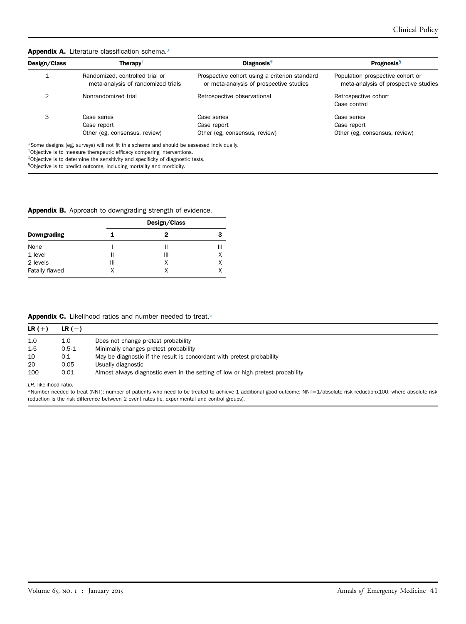#### Appendix A. Literature classification schema[.\\*](#page-9-0)

| Design/Class | Therapy <sup>1</sup>               | Diagnosis <sup>†</sup>                        | <b>Prognosis<sup>5</sup></b>         |  |
|--------------|------------------------------------|-----------------------------------------------|--------------------------------------|--|
|              | Randomized, controlled trial or    | Prospective cohort using a criterion standard | Population prospective cohort or     |  |
|              | meta-analysis of randomized trials | or meta-analysis of prospective studies       | meta-analysis of prospective studies |  |
| ⌒            | Nonrandomized trial                | Retrospective observational                   | Retrospective cohort<br>Case control |  |
| 3            | Case series                        | Case series                                   | Case series                          |  |
|              | Case report                        | Case report                                   | Case report                          |  |
|              | Other (eg. consensus, review)      | Other (eg. consensus, review)                 | Other (eg. consensus, review)        |  |

<span id="page-9-0"></span>\*Some designs (eg, surveys) will not fit this schema and should be assessed individually.

<span id="page-9-1"></span><sup>†</sup>Objective is to measure therapeutic efficacy comparing interventions.

<span id="page-9-2"></span>‡ Objective is to determine the sensitivity and specificity of diagnostic tests.

<span id="page-9-3"></span>§ Objective is to predict outcome, including mortality and morbidity.

#### Appendix B. Approach to downgrading strength of evidence.

|                    | Design/Class |   |   |  |
|--------------------|--------------|---|---|--|
| <b>Downgrading</b> |              | 2 |   |  |
| None               |              | Ш | Ш |  |
| 1 level            | Ш            | Ш | Χ |  |
| 2 levels           | Ш            | X | Χ |  |
| Fatally flawed     | X            | Χ |   |  |

Appendix C. Likelihood ratios and number needed to treat[.\\*](#page-9-4)

| LR $(+)$            | LR $(-)$  |                                                                                 |
|---------------------|-----------|---------------------------------------------------------------------------------|
| 1.0                 | 1.0       | Does not change pretest probability                                             |
| $1 - 5$             | $0.5 - 1$ | Minimally changes pretest probability                                           |
| 10                  | 0.1       | May be diagnostic if the result is concordant with pretest probability          |
| 20                  | 0.05      | Usually diagnostic                                                              |
| 100                 | 0.01      | Almost always diagnostic even in the setting of low or high pretest probability |
| LR likelihood ratio |           |                                                                                 |

LR. likelihood ra

<span id="page-9-4"></span>\*Number needed to treat (NNT): number of patients who need to be treated to achieve 1 additional good outcome; NNT=1/absolute risk reductionx100, where absolute risk reduction is the risk difference between 2 event rates (ie, experimental and control groups).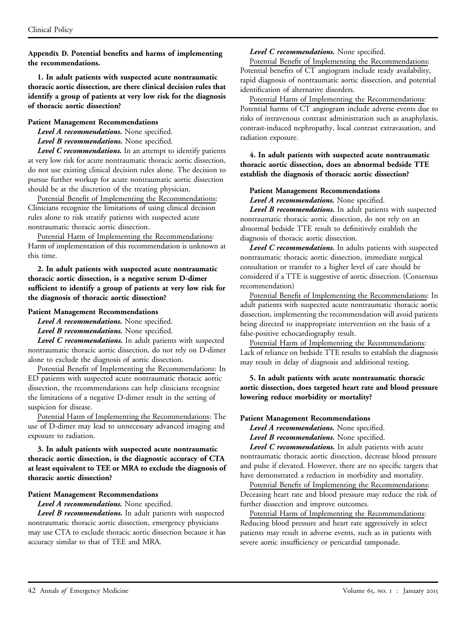Appendix D. Potential benefits and harms of implementing the recommendations.

1. In adult patients with suspected acute nontraumatic thoracic aortic dissection, are there clinical decision rules that identify a group of patients at very low risk for the diagnosis of thoracic aortic dissection?

### Patient Management Recommendations

Level A recommendations. None specified.

Level B recommendations. None specified.

Level C recommendations. In an attempt to identify patients at very low risk for acute nontraumatic thoracic aortic dissection, do not use existing clinical decision rules alone. The decision to pursue further workup for acute nontraumatic aortic dissection should be at the discretion of the treating physician.

Potential Benefit of Implementing the Recommendations: Clinicians recognize the limitations of using clinical decision rules alone to risk stratify patients with suspected acute nontraumatic thoracic aortic dissection.

Potential Harm of Implementing the Recommendations: Harm of implementation of this recommendation is unknown at this time.

2. In adult patients with suspected acute nontraumatic thoracic aortic dissection, is a negative serum D-dimer sufficient to identify a group of patients at very low risk for the diagnosis of thoracic aortic dissection?

### Patient Management Recommendations

Level A recommendations. None specified.

Level B recommendations. None specified.

Level C recommendations. In adult patients with suspected nontraumatic thoracic aortic dissection, do not rely on D-dimer alone to exclude the diagnosis of aortic dissection.

Potential Benefit of Implementing the Recommendations: In ED patients with suspected acute nontraumatic thoracic aortic dissection, the recommendations can help clinicians recognize the limitations of a negative D-dimer result in the setting of suspicion for disease.

Potential Harm of Implementing the Recommendations: The use of D-dimer may lead to unnecessary advanced imaging and exposure to radiation.

3. In adult patients with suspected acute nontraumatic thoracic aortic dissection, is the diagnostic accuracy of CTA at least equivalent to TEE or MRA to exclude the diagnosis of thoracic aortic dissection?

# Patient Management Recommendations

Level A recommendations. None specified.

Level B recommendations. In adult patients with suspected nontraumatic thoracic aortic dissection, emergency physicians may use CTA to exclude thoracic aortic dissection because it has accuracy similar to that of TEE and MRA.

# Level C recommendations. None specified.

Potential Benefit of Implementing the Recommendations: Potential benefits of CT angiogram include ready availability, rapid diagnosis of nontraumatic aortic dissection, and potential identification of alternative disorders.

Potential Harm of Implementing the Recommendations: Potential harms of CT angiogram include adverse events due to risks of intravenous contrast administration such as anaphylaxis, contrast-induced nephropathy, local contrast extravasation, and radiation exposure.

4. In adult patients with suspected acute nontraumatic thoracic aortic dissection, does an abnormal bedside TTE establish the diagnosis of thoracic aortic dissection?

### Patient Management Recommendations

Level A recommendations. None specified.

Level B recommendations. In adult patients with suspected nontraumatic thoracic aortic dissection, do not rely on an abnormal bedside TTE result to definitively establish the diagnosis of thoracic aortic dissection.

Level C recommendations. In adults patients with suspected nontraumatic thoracic aortic dissection, immediate surgical consultation or transfer to a higher level of care should be considered if a TTE is suggestive of aortic dissection. (Consensus recommendation)

Potential Benefit of Implementing the Recommendations: In adult patients with suspected acute nontraumatic thoracic aortic dissection, implementing the recommendation will avoid patients being directed to inappropriate intervention on the basis of a false-positive echocardiography result.

Potential Harm of Implementing the Recommendations: Lack of reliance on bedside TTE results to establish the diagnosis may result in delay of diagnosis and additional testing.

# 5. In adult patients with acute nontraumatic thoracic aortic dissection, does targeted heart rate and blood pressure lowering reduce morbidity or mortality?

# Patient Management Recommendations

Level A recommendations. None specified.

Level B recommendations. None specified.

Level C recommendations. In adult patients with acute nontraumatic thoracic aortic dissection, decrease blood pressure and pulse if elevated. However, there are no specific targets that have demonstrated a reduction in morbidity and mortality.

Potential Benefit of Implementing the Recommendations: Deceasing heart rate and blood pressure may reduce the risk of further dissection and improve outcomes.

Potential Harm of Implementing the Recommendations: Reducing blood pressure and heart rate aggressively in select patients may result in adverse events, such as in patients with severe aortic insufficiency or pericardial tamponade.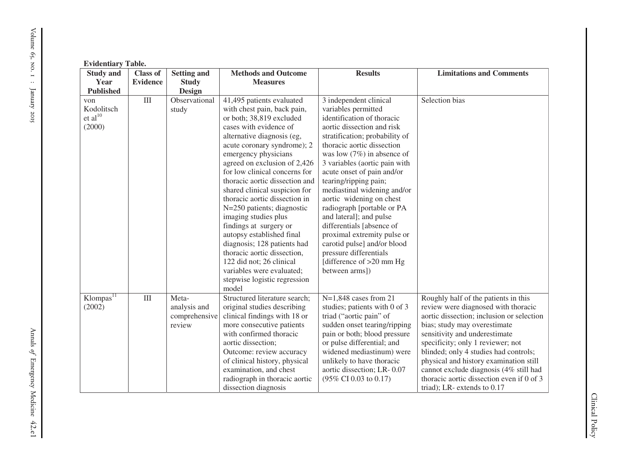| <b>Study and</b><br>Year<br><b>Published</b>       | <b>Class of</b><br><b>Evidence</b> | <b>Setting and</b><br><b>Study</b>               | <b>Methods and Outcome</b><br><b>Measures</b>                                                                                                                                                                                                                                                                                                                                                                                                                                                                                                                                                                                                | <b>Results</b>                                                                                                                                                                                                                                                                                                                                                                                                                                                                                                                                                                             | <b>Limitations and Comments</b>                                                                                                                                                                                                                                                                                                                                                                                                           |
|----------------------------------------------------|------------------------------------|--------------------------------------------------|----------------------------------------------------------------------------------------------------------------------------------------------------------------------------------------------------------------------------------------------------------------------------------------------------------------------------------------------------------------------------------------------------------------------------------------------------------------------------------------------------------------------------------------------------------------------------------------------------------------------------------------------|--------------------------------------------------------------------------------------------------------------------------------------------------------------------------------------------------------------------------------------------------------------------------------------------------------------------------------------------------------------------------------------------------------------------------------------------------------------------------------------------------------------------------------------------------------------------------------------------|-------------------------------------------------------------------------------------------------------------------------------------------------------------------------------------------------------------------------------------------------------------------------------------------------------------------------------------------------------------------------------------------------------------------------------------------|
| von<br>Kodolitsch<br>et al <sup>10</sup><br>(2000) | $\mathop{\rm III}\nolimits$        | <b>Design</b><br>Observational<br>study          | 41,495 patients evaluated<br>with chest pain, back pain,<br>or both; 38,819 excluded<br>cases with evidence of<br>alternative diagnosis (eg,<br>acute coronary syndrome); 2<br>emergency physicians<br>agreed on exclusion of 2,426<br>for low clinical concerns for<br>thoracic aortic dissection and<br>shared clinical suspicion for<br>thoracic aortic dissection in<br>N=250 patients; diagnostic<br>imaging studies plus<br>findings at surgery or<br>autopsy established final<br>diagnosis; 128 patients had<br>thoracic aortic dissection,<br>122 did not; 26 clinical<br>variables were evaluated;<br>stepwise logistic regression | 3 independent clinical<br>variables permitted<br>identification of thoracic<br>aortic dissection and risk<br>stratification; probability of<br>thoracic aortic dissection<br>was low $(7%)$ in absence of<br>3 variables (aortic pain with<br>acute onset of pain and/or<br>tearing/ripping pain;<br>mediastinal widening and/or<br>aortic widening on chest<br>radiograph [portable or PA<br>and lateral]; and pulse<br>differentials [absence of<br>proximal extremity pulse or<br>carotid pulse] and/or blood<br>pressure differentials<br>[difference of $>20$ mm Hg<br>between arms]) | Selection bias                                                                                                                                                                                                                                                                                                                                                                                                                            |
| $\overline{\text{Klompas}^{11}}$<br>(2002)         | $\mathop{\rm III}$                 | Meta-<br>analysis and<br>comprehensive<br>review | model<br>Structured literature search;<br>original studies describing<br>clinical findings with 18 or<br>more consecutive patients<br>with confirmed thoracic<br>aortic dissection;<br>Outcome: review accuracy<br>of clinical history, physical<br>examination, and chest<br>radiograph in thoracic aortic<br>dissection diagnosis                                                                                                                                                                                                                                                                                                          | $N=1,848$ cases from 21<br>studies; patients with 0 of 3<br>triad ("aortic pain" of<br>sudden onset tearing/ripping<br>pain or both; blood pressure<br>or pulse differential; and<br>widened mediastinum) were<br>unlikely to have thoracic<br>aortic dissection; LR-0.07<br>$(95\% \text{ CI } 0.03 \text{ to } 0.17)$                                                                                                                                                                                                                                                                    | Roughly half of the patients in this<br>review were diagnosed with thoracic<br>aortic dissection; inclusion or selection<br>bias; study may overestimate<br>sensitivity and underestimate<br>specificity; only 1 reviewer; not<br>blinded; only 4 studies had controls;<br>physical and history examination still<br>cannot exclude diagnosis (4% still had<br>thoracic aortic dissection even if 0 of 3<br>triad); LR- extends to $0.17$ |

H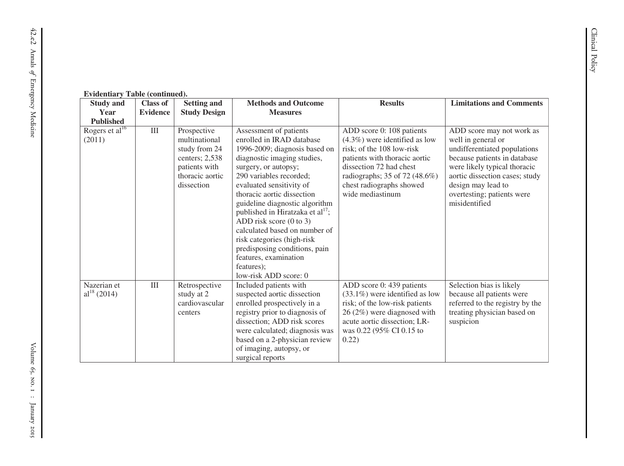| <b>Study and</b>           | <b>Class of</b> | <b>Setting and</b>  | <b>Methods and Outcome</b>                   | <b>Results</b>                    | <b>Limitations and Comments</b> |
|----------------------------|-----------------|---------------------|----------------------------------------------|-----------------------------------|---------------------------------|
| Year<br><b>Published</b>   | <b>Evidence</b> | <b>Study Design</b> | <b>Measures</b>                              |                                   |                                 |
| Rogers et al <sup>16</sup> | Ш               | Prospective         | Assessment of patients                       | ADD score 0: 108 patients         | ADD score may not work as       |
| (2011)                     |                 | multinational       | enrolled in IRAD database                    | $(4.3\%)$ were identified as low  | well in general or              |
|                            |                 | study from 24       | 1996-2009; diagnosis based on                | risk; of the 108 low-risk         | undifferentiated populations    |
|                            |                 | centers; 2,538      | diagnostic imaging studies,                  | patients with thoracic aortic     | because patients in database    |
|                            |                 | patients with       | surgery, or autopsy;                         | dissection 72 had chest           | were likely typical thoracic    |
|                            |                 | thoracic aortic     | 290 variables recorded;                      | radiographs; 35 of 72 (48.6%)     | aortic dissection cases; study  |
|                            |                 | dissection          | evaluated sensitivity of                     | chest radiographs showed          | design may lead to              |
|                            |                 |                     | thoracic aortic dissection                   | wide mediastinum                  | overtesting; patients were      |
|                            |                 |                     | guideline diagnostic algorithm               |                                   | misidentified                   |
|                            |                 |                     | published in Hiratzaka et al <sup>17</sup> ; |                                   |                                 |
|                            |                 |                     | ADD risk score $(0 \text{ to } 3)$           |                                   |                                 |
|                            |                 |                     | calculated based on number of                |                                   |                                 |
|                            |                 |                     | risk categories (high-risk                   |                                   |                                 |
|                            |                 |                     | predisposing conditions, pain                |                                   |                                 |
|                            |                 |                     | features, examination                        |                                   |                                 |
|                            |                 |                     | features);                                   |                                   |                                 |
|                            |                 |                     | low-risk ADD score: 0                        |                                   |                                 |
| Nazerian et                | III             | Retrospective       | Included patients with                       | ADD score 0: 439 patients         | Selection bias is likely        |
| $al^{18}$ (2014)           |                 | study at 2          | suspected aortic dissection                  | $(33.1\%)$ were identified as low | because all patients were       |
|                            |                 | cardiovascular      | enrolled prospectively in a                  | risk; of the low-risk patients    | referred to the registry by the |
|                            |                 | centers             | registry prior to diagnosis of               | 26 (2%) were diagnosed with       | treating physician based on     |
|                            |                 |                     | dissection; ADD risk scores                  | acute aortic dissection; LR-      | suspicion                       |
|                            |                 |                     | were calculated; diagnosis was               | was 0.22 (95% CI 0.15 to          |                                 |
|                            |                 |                     | based on a 2-physician review                | 0.22)                             |                                 |
|                            |                 |                     | of imaging, autopsy, or                      |                                   |                                 |
|                            |                 |                     | surgical reports                             |                                   |                                 |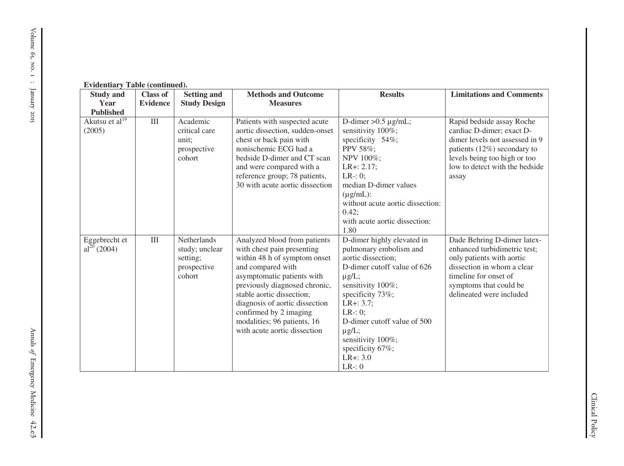| <b>Study and</b><br>Year<br><b>Published</b> | <b>Class of</b><br><b>Evidence</b> | <b>Setting and</b><br><b>Study Design</b>                          | <b>Methods and Outcome</b><br><b>Measures</b>                                                                                                                                                                                                                                                                                          | <b>Results</b>                                                                                                                                                                                                                                                                                             | <b>Limitations and Comments</b>                                                                                                                                                                       |
|----------------------------------------------|------------------------------------|--------------------------------------------------------------------|----------------------------------------------------------------------------------------------------------------------------------------------------------------------------------------------------------------------------------------------------------------------------------------------------------------------------------------|------------------------------------------------------------------------------------------------------------------------------------------------------------------------------------------------------------------------------------------------------------------------------------------------------------|-------------------------------------------------------------------------------------------------------------------------------------------------------------------------------------------------------|
| Akutsu et al <sup>19</sup><br>(2005)         | $\rm III$                          | Academic<br>critical care<br>unit;<br>prospective<br>cohort        | Patients with suspected acute<br>aortic dissection, sudden-onset<br>chest or back pain with<br>nonischemic ECG had a<br>bedside D-dimer and CT scan<br>and were compared with a<br>reference group; 78 patients,<br>30 with acute aortic dissection                                                                                    | D-dimer $>0.5 \mu g/mL$ ;<br>sensitivity 100%;<br>specificity 54%;<br>PPV 58%;<br>NPV 100%;<br>$LR +: 2.17$ ;<br>$LR - 0$ :<br>median D-dimer values<br>$(\mu g/mL)$ :<br>without acute aortic dissection:<br>0.42;<br>with acute aortic dissection:<br>1.80                                               | Rapid bedside assay Roche<br>cardiac D-dimer; exact D-<br>dimer levels not assessed in 9<br>patients $(12\%)$ secondary to<br>levels being too high or too<br>low to detect with the bedside<br>assay |
| Eggebrecht et<br>$al^{20}$ (2004)            | III                                | Netherlands<br>study; unclear<br>setting;<br>prospective<br>cohort | Analyzed blood from patients<br>with chest pain presenting<br>within 48 h of symptom onset<br>and compared with<br>asymptomatic patients with<br>previously diagnosed chronic,<br>stable aortic dissection;<br>diagnosis of aortic dissection<br>confirmed by 2 imaging<br>modalities; 96 patients, 16<br>with acute aortic dissection | D-dimer highly elevated in<br>pulmonary embolism and<br>aortic dissection;<br>D-dimer cutoff value of 626<br>$\mu$ g/L;<br>sensitivity 100%;<br>specificity 73%;<br>$LR +: 3.7;$<br>$LR - 0$ :<br>D-dimer cutoff value of 500<br>$\mu$ g/L;<br>sensitivity 100%;<br>specificity 67%;<br>$LR+: 3.0$<br>LR:0 | Dade Behring D-dimer latex-<br>enhanced turbidimetric test;<br>only patients with aortic<br>dissection in whom a clear<br>timeline for onset of<br>symptoms that could be<br>delineated were included |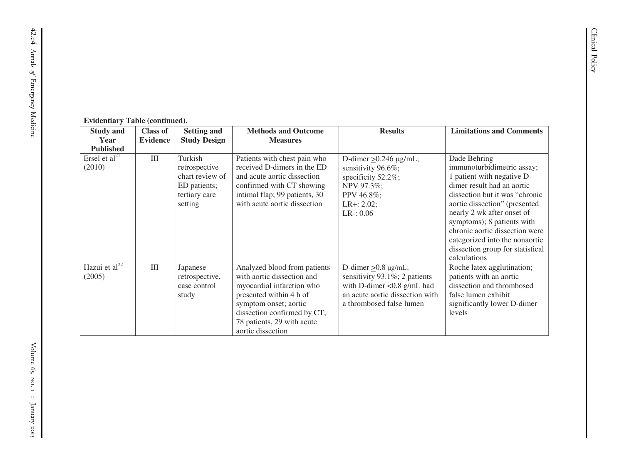| пласпиат у таріс (сопишаса): |                 |                                                                                         |                                                                                                                                                                                                                               |                                                                                                                                                            |                                                                                                                                                                                                                                                                                                                                                               |
|------------------------------|-----------------|-----------------------------------------------------------------------------------------|-------------------------------------------------------------------------------------------------------------------------------------------------------------------------------------------------------------------------------|------------------------------------------------------------------------------------------------------------------------------------------------------------|---------------------------------------------------------------------------------------------------------------------------------------------------------------------------------------------------------------------------------------------------------------------------------------------------------------------------------------------------------------|
| <b>Study and</b>             | <b>Class of</b> | <b>Setting and</b>                                                                      | <b>Methods and Outcome</b>                                                                                                                                                                                                    | <b>Results</b>                                                                                                                                             | <b>Limitations and Comments</b>                                                                                                                                                                                                                                                                                                                               |
| Year                         | <b>Evidence</b> | <b>Study Design</b>                                                                     | <b>Measures</b>                                                                                                                                                                                                               |                                                                                                                                                            |                                                                                                                                                                                                                                                                                                                                                               |
| <b>Published</b>             |                 |                                                                                         |                                                                                                                                                                                                                               |                                                                                                                                                            |                                                                                                                                                                                                                                                                                                                                                               |
| Ersel et $al21$<br>(2010)    | Ш               | Turkish<br>retrospective<br>chart review of<br>ED patients;<br>tertiary care<br>setting | Patients with chest pain who<br>received D-dimers in the ED<br>and acute aortic dissection<br>confirmed with CT showing<br>intimal flap; 99 patients, 30<br>with acute aortic dissection                                      | D-dimer $\geq$ 0.246 µg/mL;<br>sensitivity 96.6%;<br>specificity 52.2%;<br>NPV 97.3%;<br>PPV 46.8%;<br>$LR + 2.02;$<br>$LR = 0.06$                         | Dade Behring<br>immunoturbidimetric assay;<br>1 patient with negative D-<br>dimer result had an aortic<br>dissection but it was "chronic<br>aortic dissection" (presented<br>nearly 2 wk after onset of<br>symptoms); 8 patients with<br>chronic aortic dissection were<br>categorized into the nonaortic<br>dissection group for statistical<br>calculations |
| Hazui et $al22$<br>(2005)    | Ш               | Japanese<br>retrospective,<br>case control<br>study                                     | Analyzed blood from patients<br>with aortic dissection and<br>myocardial infarction who<br>presented within 4 h of<br>symptom onset; aortic<br>dissection confirmed by CT;<br>78 patients, 29 with acute<br>aortic dissection | D-dimer $>0.8 \mu g/mL$ ;<br>sensitivity 93.1%; 2 patients<br>with D-dimer $< 0.8$ g/mL had<br>an acute aortic dissection with<br>a thrombosed false lumen | Roche latex agglutination;<br>patients with an aortic<br>dissection and thrombosed<br>false lumen exhibit<br>significantly lower D-dimer<br>levels                                                                                                                                                                                                            |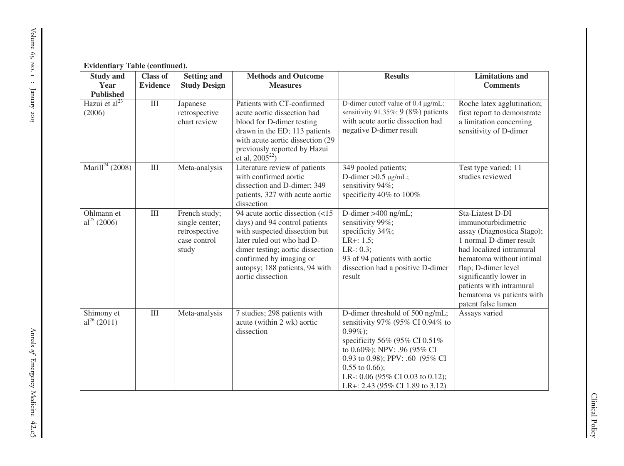| <b>Study and</b><br>Year<br><b>Published</b> | <b>Class of</b><br><b>Evidence</b> | <b>Setting and</b><br><b>Study Design</b>                                 | <b>Methods and Outcome</b><br><b>Measures</b>                                                                                                                                                                                                         | <b>Results</b>                                                                                                                                                                                                                                                                      | <b>Limitations</b> and<br><b>Comments</b>                                                                                                                                                                                                                                                |
|----------------------------------------------|------------------------------------|---------------------------------------------------------------------------|-------------------------------------------------------------------------------------------------------------------------------------------------------------------------------------------------------------------------------------------------------|-------------------------------------------------------------------------------------------------------------------------------------------------------------------------------------------------------------------------------------------------------------------------------------|------------------------------------------------------------------------------------------------------------------------------------------------------------------------------------------------------------------------------------------------------------------------------------------|
| Hazui et al $^{23}$<br>(2006)                | $\mathop{\rm III}$                 | Japanese<br>retrospective<br>chart review                                 | Patients with CT-confirmed<br>acute aortic dissection had<br>blood for D-dimer testing<br>drawn in the ED; 113 patients<br>with acute aortic dissection (29<br>previously reported by Hazui<br>et al, $2005^{22}$ )                                   | D-dimer cutoff value of 0.4 µg/mL;<br>sensitivity 91.35%; $9(8\%)$ patients<br>with acute aortic dissection had<br>negative D-dimer result                                                                                                                                          | Roche latex agglutination;<br>first report to demonstrate<br>a limitation concerning<br>sensitivity of D-dimer                                                                                                                                                                           |
| Marill <sup>24</sup> (2008)                  | III                                | Meta-analysis                                                             | Literature review of patients<br>with confirmed aortic<br>dissection and D-dimer; 349<br>patients, 327 with acute aortic<br>dissection                                                                                                                | 349 pooled patients;<br>D-dimer $>0.5 \mu g/mL$ ;<br>sensitivity 94%;<br>specificity 40% to 100%                                                                                                                                                                                    | Test type varied; 11<br>studies reviewed                                                                                                                                                                                                                                                 |
| Ohlmann et<br>$al^{25}$ (2006)               | III                                | French study;<br>single center;<br>retrospective<br>case control<br>study | 94 acute aortic dissection (<15<br>days) and 94 control patients<br>with suspected dissection but<br>later ruled out who had D-<br>dimer testing; aortic dissection<br>confirmed by imaging or<br>autopsy; 188 patients, 94 with<br>aortic dissection | D-dimer $>400$ ng/mL;<br>sensitivity 99%;<br>specificity 34%;<br>$LR +: 1.5;$<br>LR $-: 0.3;$<br>93 of 94 patients with aortic<br>dissection had a positive D-dimer<br>result                                                                                                       | Sta-Liatest D-DI<br>immunoturbidimetric<br>assay (Diagnostica Stago);<br>1 normal D-dimer result<br>had localized intramural<br>hematoma without intimal<br>flap; D-dimer level<br>significantly lower in<br>patients with intramural<br>hematoma vs patients with<br>patent false lumen |
| Shimony et<br>$al^{26}$ (2011)               | III                                | Meta-analysis                                                             | 7 studies; 298 patients with<br>acute (within 2 wk) aortic<br>dissection                                                                                                                                                                              | D-dimer threshold of 500 ng/mL;<br>sensitivity 97% (95% CI 0.94% to<br>$0.99\%$ ;<br>specificity 56% (95% CI 0.51%)<br>to 0.60%); NPV: .96 (95% CI<br>0.93 to 0.98); PPV: .60 (95% CI<br>$0.55$ to $0.66$ );<br>LR-: 0.06 (95% CI 0.03 to 0.12);<br>LR+: 2.43 (95% CI 1.89 to 3.12) | Assays varied                                                                                                                                                                                                                                                                            |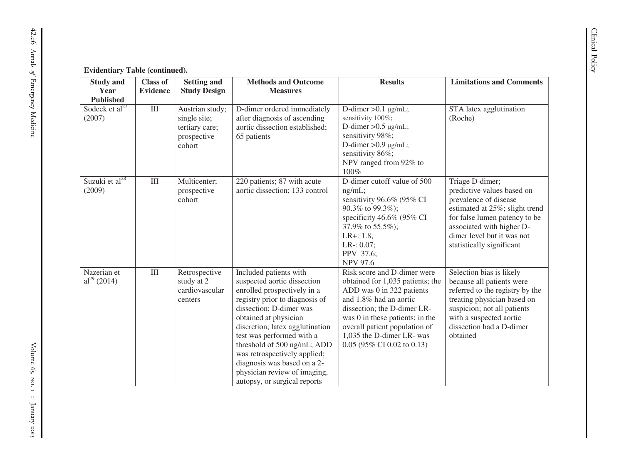| <b>Study and</b><br>Year<br><b>Published</b> | <b>Class of</b><br><b>Evidence</b> | <b>Setting and</b><br><b>Study Design</b>                                  | <b>Methods and Outcome</b><br><b>Measures</b>                                                                                                                                                                                                                                                                                                                                                            | <b>Results</b>                                                                                                                                                                                                                                                                         | <b>Limitations and Comments</b>                                                                                                                                                                                                   |
|----------------------------------------------|------------------------------------|----------------------------------------------------------------------------|----------------------------------------------------------------------------------------------------------------------------------------------------------------------------------------------------------------------------------------------------------------------------------------------------------------------------------------------------------------------------------------------------------|----------------------------------------------------------------------------------------------------------------------------------------------------------------------------------------------------------------------------------------------------------------------------------------|-----------------------------------------------------------------------------------------------------------------------------------------------------------------------------------------------------------------------------------|
| Sodeck et $al^{27}$<br>(2007)                | $\rm III$                          | Austrian study;<br>single site;<br>tertiary care;<br>prospective<br>cohort | D-dimer ordered immediately<br>after diagnosis of ascending<br>aortic dissection established;<br>65 patients                                                                                                                                                                                                                                                                                             | D-dimer $>0.1 \mu g/mL$ ;<br>sensitivity 100%;<br>D-dimer $>0.5$ $\mu$ g/mL;<br>sensitivity 98%;<br>D-dimer $>0.9 \mu g/mL$ ;<br>sensitivity 86%;<br>NPV ranged from 92% to<br>100%                                                                                                    | STA latex agglutination<br>(Roche)                                                                                                                                                                                                |
| Suzuki et al <sup>28</sup><br>(2009)         | III                                | Multicenter;<br>prospective<br>cohort                                      | 220 patients; 87 with acute<br>aortic dissection; 133 control                                                                                                                                                                                                                                                                                                                                            | D-dimer cutoff value of 500<br>ng/mL;<br>sensitivity 96.6% (95% CI<br>90.3% to 99.3%);<br>specificity 46.6% (95% CI<br>37.9% to 55.5%);<br>$LR +: 1.8;$<br>$LR = 0.07$ ;<br>PPV 37.6;<br><b>NPV 97.6</b>                                                                               | Triage D-dimer;<br>predictive values based on<br>prevalence of disease<br>estimated at 25%; slight trend<br>for false lumen patency to be<br>associated with higher D-<br>dimer level but it was not<br>statistically significant |
| Nazerian et<br>$al^{29}$ (2014)              | III                                | Retrospective<br>study at 2<br>cardiovascular<br>centers                   | Included patients with<br>suspected aortic dissection<br>enrolled prospectively in a<br>registry prior to diagnosis of<br>dissection; D-dimer was<br>obtained at physician<br>discretion; latex agglutination<br>test was performed with a<br>threshold of 500 ng/mL; ADD<br>was retrospectively applied;<br>diagnosis was based on a 2-<br>physician review of imaging,<br>autopsy, or surgical reports | Risk score and D-dimer were<br>obtained for 1,035 patients; the<br>ADD was 0 in 322 patients<br>and 1.8% had an aortic<br>dissection; the D-dimer LR-<br>was 0 in these patients; in the<br>overall patient population of<br>1,035 the D-dimer LR- was<br>$0.05$ (95% CI 0.02 to 0.13) | Selection bias is likely<br>because all patients were<br>referred to the registry by the<br>treating physician based on<br>suspicion; not all patients<br>with a suspected aortic<br>dissection had a D-dimer<br>obtained         |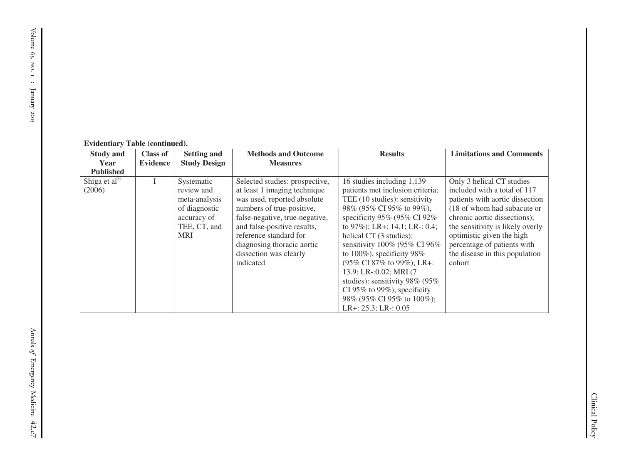| <b>Evidentiary Table (continued).</b> |  |  |  |  |
|---------------------------------------|--|--|--|--|
|---------------------------------------|--|--|--|--|

| <b>Study and</b><br>Year  | <b>Class of</b><br><b>Evidence</b> | <b>Setting and</b><br><b>Study Design</b>                                                               | <b>Methods and Outcome</b><br><b>Measures</b>                                                                                                                                                                                                                                              | <b>Results</b>                                                                                                                                                                                                                                                                                                                                                                                                                                                                              | <b>Limitations and Comments</b>                                                                                                                                                                                                                                                                         |
|---------------------------|------------------------------------|---------------------------------------------------------------------------------------------------------|--------------------------------------------------------------------------------------------------------------------------------------------------------------------------------------------------------------------------------------------------------------------------------------------|---------------------------------------------------------------------------------------------------------------------------------------------------------------------------------------------------------------------------------------------------------------------------------------------------------------------------------------------------------------------------------------------------------------------------------------------------------------------------------------------|---------------------------------------------------------------------------------------------------------------------------------------------------------------------------------------------------------------------------------------------------------------------------------------------------------|
| <b>Published</b>          |                                    |                                                                                                         |                                                                                                                                                                                                                                                                                            |                                                                                                                                                                                                                                                                                                                                                                                                                                                                                             |                                                                                                                                                                                                                                                                                                         |
| Shiga et $al31$<br>(2006) |                                    | Systematic<br>review and<br>meta-analysis<br>of diagnostic<br>accuracy of<br>TEE, CT, and<br><b>MRI</b> | Selected studies: prospective,<br>at least 1 imaging technique<br>was used, reported absolute<br>numbers of true-positive,<br>false-negative, true-negative,<br>and false-positive results,<br>reference standard for<br>diagnosing thoracic aortic<br>dissection was clearly<br>indicated | 16 studies including 1,139<br>patients met inclusion criteria;<br>TEE (10 studies): sensitivity<br>98% (95% CI 95% to 99%),<br>specificity 95% (95% CI 92%)<br>to $97\%$ ); LR+: 14.1; LR-: 0.4;<br>helical CT (3 studies):<br>sensitivity $100\%$ (95% CI 96%)<br>to $100\%$ ), specificity 98%<br>(95% CI 87% to 99%); LR+:<br>13.9; LR-:0.02; MRI (7)<br>studies): sensitivity 98% (95%)<br>CI 95% to 99%), specificity<br>98\% (95\% CI 95\% to 100\%);<br>LR $+$ : 25.3; LR $-$ : 0.05 | Only 3 helical CT studies<br>included with a total of 117<br>patients with aortic dissection<br>(18 of whom had subacute or<br>chronic aortic dissections);<br>the sensitivity is likely overly<br>optimistic given the high<br>percentage of patients with<br>the disease in this population<br>cohort |

H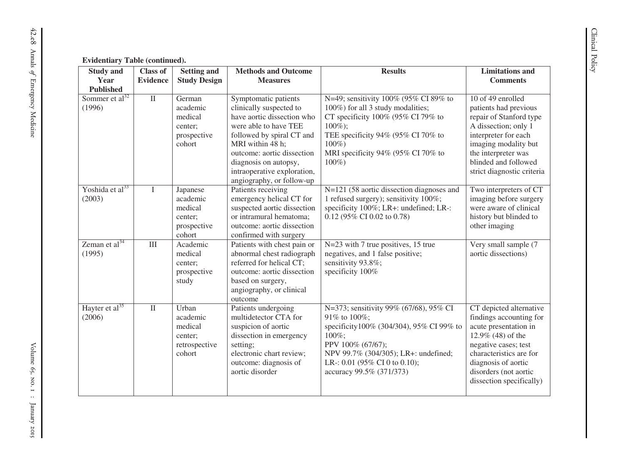| Ξ |
|---|
|   |
|   |

| <b>Study and</b><br>Year<br><b>Published</b> | <b>Class of</b><br><b>Evidence</b> | <b>Setting and</b><br><b>Study Design</b>                           | <b>Methods and Outcome</b><br><b>Measures</b>                                                                                                                                                                                                                              | <b>Results</b>                                                                                                                                                                                                                            | <b>Limitations</b> and<br><b>Comments</b>                                                                                                                                                                                       |
|----------------------------------------------|------------------------------------|---------------------------------------------------------------------|----------------------------------------------------------------------------------------------------------------------------------------------------------------------------------------------------------------------------------------------------------------------------|-------------------------------------------------------------------------------------------------------------------------------------------------------------------------------------------------------------------------------------------|---------------------------------------------------------------------------------------------------------------------------------------------------------------------------------------------------------------------------------|
| Sommer et $al32$<br>(1996)                   | $\rm II$                           | German<br>academic<br>medical<br>center;<br>prospective<br>cohort   | Symptomatic patients<br>clinically suspected to<br>have aortic dissection who<br>were able to have TEE<br>followed by spiral CT and<br>MRI within 48 h;<br>outcome: aortic dissection<br>diagnosis on autopsy,<br>intraoperative exploration,<br>angiography, or follow-up | N=49; sensitivity 100% (95% CI 89% to<br>100%) for all 3 study modalities;<br>CT specificity 100% (95% CI 79% to<br>$100\%$ ;<br>TEE specificity 94% (95% CI 70% to<br>$100\%$<br>MRI specificity 94% (95% CI 70% to<br>$100\%$ )         | 10 of 49 enrolled<br>patients had previous<br>repair of Stanford type<br>A dissection; only 1<br>interpreter for each<br>imaging modality but<br>the interpreter was<br>blinded and followed<br>strict diagnostic criteria      |
| Yoshida et $al^{33}$<br>(2003)               | $\bf{I}$                           | Japanese<br>academic<br>medical<br>center;<br>prospective<br>cohort | Patients receiving<br>emergency helical CT for<br>suspected aortic dissection<br>or intramural hematoma;<br>outcome: aortic dissection<br>confirmed with surgery                                                                                                           | N=121 (58 aortic dissection diagnoses and<br>1 refused surgery); sensitivity 100%;<br>specificity 100%; LR+: undefined; LR-:<br>0.12 (95% CI 0.02 to 0.78)                                                                                | Two interpreters of CT<br>imaging before surgery<br>were aware of clinical<br>history but blinded to<br>other imaging                                                                                                           |
| Zeman et al <sup>34</sup><br>(1995)          | $\rm III$                          | Academic<br>medical<br>center;<br>prospective<br>study              | Patients with chest pain or<br>abnormal chest radiograph<br>referred for helical CT;<br>outcome: aortic dissection<br>based on surgery,<br>angiography, or clinical<br>outcome                                                                                             | N=23 with 7 true positives, 15 true<br>negatives, and 1 false positive;<br>sensitivity 93.8%;<br>specificity 100%                                                                                                                         | Very small sample (7<br>aortic dissections)                                                                                                                                                                                     |
| Hayter et al <sup>35</sup><br>(2006)         | $\rm II$                           | Urban<br>academic<br>medical<br>center;<br>retrospective<br>cohort  | Patients undergoing<br>multidetector CTA for<br>suspicion of aortic<br>dissection in emergency<br>setting;<br>electronic chart review;<br>outcome: diagnosis of<br>aortic disorder                                                                                         | N=373; sensitivity 99% (67/68), 95% CI<br>91% to 100%;<br>specificity100% (304/304), 95% CI 99% to<br>$100\%$ ;<br>PPV 100% (67/67);<br>NPV 99.7% (304/305); LR+: undefined;<br>LR-: 0.01 (95% CI 0 to 0.10);<br>accuracy 99.5% (371/373) | CT depicted alternative<br>findings accounting for<br>acute presentation in<br>12.9% (48) of the<br>negative cases; test<br>characteristics are for<br>diagnosis of aortic<br>disorders (not aortic<br>dissection specifically) |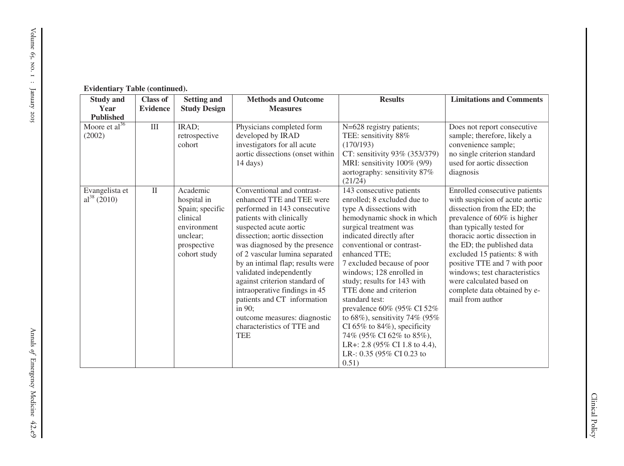|  |  | <b>Evidentiary Table (continued).</b> |  |
|--|--|---------------------------------------|--|
|--|--|---------------------------------------|--|

| <b>Study and</b><br>Year           | <b>Class of</b><br><b>Evidence</b> | <b>Setting and</b><br><b>Study Design</b>                                                                        | <b>Methods and Outcome</b><br><b>Measures</b>                                                                                                                                                                                                                                                                                                                                                                                                                                                           | <b>Results</b>                                                                                                                                                                                                                                                                                                                                                                                                                                                                                                                                                   | <b>Limitations and Comments</b>                                                                                                                                                                                                                                                                                                                                                                            |
|------------------------------------|------------------------------------|------------------------------------------------------------------------------------------------------------------|---------------------------------------------------------------------------------------------------------------------------------------------------------------------------------------------------------------------------------------------------------------------------------------------------------------------------------------------------------------------------------------------------------------------------------------------------------------------------------------------------------|------------------------------------------------------------------------------------------------------------------------------------------------------------------------------------------------------------------------------------------------------------------------------------------------------------------------------------------------------------------------------------------------------------------------------------------------------------------------------------------------------------------------------------------------------------------|------------------------------------------------------------------------------------------------------------------------------------------------------------------------------------------------------------------------------------------------------------------------------------------------------------------------------------------------------------------------------------------------------------|
| <b>Published</b>                   |                                    |                                                                                                                  |                                                                                                                                                                                                                                                                                                                                                                                                                                                                                                         |                                                                                                                                                                                                                                                                                                                                                                                                                                                                                                                                                                  |                                                                                                                                                                                                                                                                                                                                                                                                            |
| Moore et $al^{36}$<br>(2002)       | $\rm III$                          | IRAD;<br>retrospective<br>cohort                                                                                 | Physicians completed form<br>developed by IRAD<br>investigators for all acute<br>aortic dissections (onset within<br>$14 \text{ days}$                                                                                                                                                                                                                                                                                                                                                                  | N=628 registry patients;<br>TEE: sensitivity 88%<br>(170/193)<br>CT: sensitivity 93% (353/379)<br>MRI: sensitivity 100% (9/9)<br>aortography: sensitivity 87%<br>(21/24)                                                                                                                                                                                                                                                                                                                                                                                         | Does not report consecutive<br>sample; therefore, likely a<br>convenience sample;<br>no single criterion standard<br>used for aortic dissection<br>diagnosis                                                                                                                                                                                                                                               |
| Evangelista et<br>$al^{38}$ (2010) | $\mathbf{I}$                       | Academic<br>hospital in<br>Spain; specific<br>clinical<br>environment<br>unclear;<br>prospective<br>cohort study | Conventional and contrast-<br>enhanced TTE and TEE were<br>performed in 143 consecutive<br>patients with clinically<br>suspected acute aortic<br>dissection; aortic dissection<br>was diagnosed by the presence<br>of 2 vascular lumina separated<br>by an intimal flap; results were<br>validated independently<br>against criterion standard of<br>intraoperative findings in 45<br>patients and CT information<br>in 90;<br>outcome measures: diagnostic<br>characteristics of TTE and<br><b>TEE</b> | 143 consecutive patients<br>enrolled; 8 excluded due to<br>type A dissections with<br>hemodynamic shock in which<br>surgical treatment was<br>indicated directly after<br>conventional or contrast-<br>enhanced TTE;<br>7 excluded because of poor<br>windows; 128 enrolled in<br>study; results for 143 with<br>TTE done and criterion<br>standard test:<br>prevalence 60% (95% CI 52%)<br>to $68\%$ ), sensitivity 74% (95%)<br>CI 65% to 84%), specificity<br>74% (95% CI 62% to 85%),<br>LR+: 2.8 (95% CI 1.8 to 4.4),<br>LR-: 0.35 (95% CI 0.23 to<br>0.51) | Enrolled consecutive patients<br>with suspicion of acute aortic<br>dissection from the ED; the<br>prevalence of 60% is higher<br>than typically tested for<br>thoracic aortic dissection in<br>the ED; the published data<br>excluded 15 patients: 8 with<br>positive TTE and 7 with poor<br>windows; test characteristics<br>were calculated based on<br>complete data obtained by e-<br>mail from author |

H

Clinical Policy Clinical Policy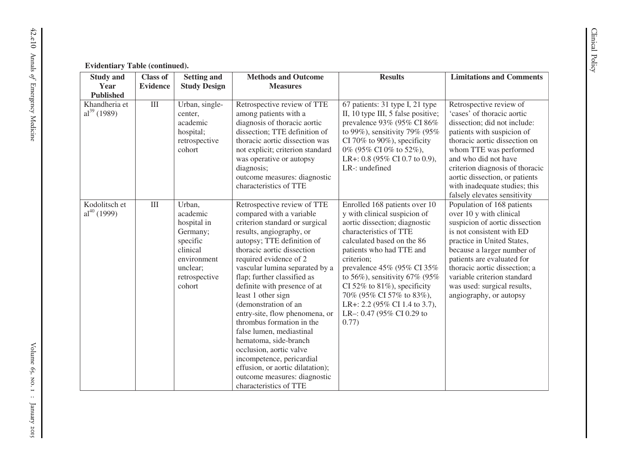| <b>Evidentiary Table (continued).</b> |  |
|---------------------------------------|--|
|                                       |  |

| <b>Study and</b><br>Year<br><b>Published</b> | <b>Class of</b><br><b>Evidence</b> | <b>Setting and</b><br><b>Study Design</b>                                                                                   | <b>Methods and Outcome</b><br><b>Measures</b>                                                                                                                                                                                                                                                                                                                                                                                                                                                                                                                                                                                        | <b>Results</b>                                                                                                                                                                                                                                                                                                                                                                                     | <b>Limitations and Comments</b>                                                                                                                                                                                                                                                                                                              |
|----------------------------------------------|------------------------------------|-----------------------------------------------------------------------------------------------------------------------------|--------------------------------------------------------------------------------------------------------------------------------------------------------------------------------------------------------------------------------------------------------------------------------------------------------------------------------------------------------------------------------------------------------------------------------------------------------------------------------------------------------------------------------------------------------------------------------------------------------------------------------------|----------------------------------------------------------------------------------------------------------------------------------------------------------------------------------------------------------------------------------------------------------------------------------------------------------------------------------------------------------------------------------------------------|----------------------------------------------------------------------------------------------------------------------------------------------------------------------------------------------------------------------------------------------------------------------------------------------------------------------------------------------|
| Khandheria et<br>$al^{39}$ (1989)            | $\rm III$                          | Urban, single-<br>center,<br>academic<br>hospital;<br>retrospective<br>cohort                                               | Retrospective review of TTE<br>among patients with a<br>diagnosis of thoracic aortic<br>dissection; TTE definition of<br>thoracic aortic dissection was<br>not explicit; criterion standard<br>was operative or autopsy<br>diagnosis;<br>outcome measures: diagnostic<br>characteristics of TTE                                                                                                                                                                                                                                                                                                                                      | 67 patients: 31 type I, 21 type<br>II, 10 type III, 5 false positive;<br>prevalence 93% (95% CI 86%<br>to 99%), sensitivity 79% (95%<br>CI 70% to 90%), specificity<br>0% (95% CI 0% to 52%),<br>LR+: 0.8 (95% CI 0.7 to 0.9),<br>LR-: undefined                                                                                                                                                   | Retrospective review of<br>'cases' of thoracic aortic<br>dissection; did not include:<br>patients with suspicion of<br>thoracic aortic dissection on<br>whom TTE was performed<br>and who did not have<br>criterion diagnosis of thoracic<br>aortic dissection, or patients<br>with inadequate studies; this<br>falsely elevates sensitivity |
| Kodolitsch et<br>$al^{40}$ (1999)            | $\mathop{\rm III}$                 | Urban,<br>academic<br>hospital in<br>Germany;<br>specific<br>clinical<br>environment<br>unclear;<br>retrospective<br>cohort | Retrospective review of TTE<br>compared with a variable<br>criterion standard or surgical<br>results, angiography, or<br>autopsy; TTE definition of<br>thoracic aortic dissection<br>required evidence of 2<br>vascular lumina separated by a<br>flap; further classified as<br>definite with presence of at<br>least 1 other sign<br>(demonstration of an<br>entry-site, flow phenomena, or<br>thrombus formation in the<br>false lumen, mediastinal<br>hematoma, side-branch<br>occlusion, aortic valve<br>incompetence, pericardial<br>effusion, or aortic dilatation);<br>outcome measures: diagnostic<br>characteristics of TTE | Enrolled 168 patients over 10<br>y with clinical suspicion of<br>aortic dissection; diagnostic<br>characteristics of TTE<br>calculated based on the 86<br>patients who had TTE and<br>criterion;<br>prevalence 45% (95% CI 35%<br>to 56%), sensitivity 67% (95%)<br>CI 52% to 81%), specificity<br>70% (95% CI 57% to 83%),<br>LR+: 2.2 (95% CI 1.4 to 3.7),<br>LR-: 0.47 (95% CI 0.29 to<br>0.77) | Population of 168 patients<br>over 10 y with clinical<br>suspicion of aortic dissection<br>is not consistent with ED<br>practice in United States,<br>because a larger number of<br>patients are evaluated for<br>thoracic aortic dissection; a<br>variable criterion standard<br>was used: surgical results,<br>angiography, or autopsy     |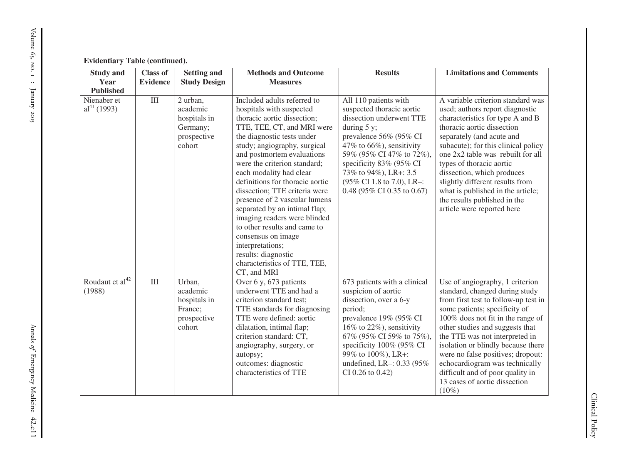| <b>Study and</b><br>Year<br><b>Published</b> | <b>Class of</b><br><b>Evidence</b> | <b>Setting and</b><br><b>Study Design</b>                                 | <b>Methods and Outcome</b><br><b>Measures</b>                                                                                                                                                                                                                                                                                                                                                                                                                                                                                                                                                     | <b>Results</b>                                                                                                                                                                                                                                                                                        | <b>Limitations and Comments</b>                                                                                                                                                                                                                                                                                                                                                                                                                    |
|----------------------------------------------|------------------------------------|---------------------------------------------------------------------------|---------------------------------------------------------------------------------------------------------------------------------------------------------------------------------------------------------------------------------------------------------------------------------------------------------------------------------------------------------------------------------------------------------------------------------------------------------------------------------------------------------------------------------------------------------------------------------------------------|-------------------------------------------------------------------------------------------------------------------------------------------------------------------------------------------------------------------------------------------------------------------------------------------------------|----------------------------------------------------------------------------------------------------------------------------------------------------------------------------------------------------------------------------------------------------------------------------------------------------------------------------------------------------------------------------------------------------------------------------------------------------|
| Nienaber et<br>$al41$ (1993)                 | $\rm III$                          | 2 urban,<br>academic<br>hospitals in<br>Germany;<br>prospective<br>cohort | Included adults referred to<br>hospitals with suspected<br>thoracic aortic dissection;<br>TTE, TEE, CT, and MRI were<br>the diagnostic tests under<br>study; angiography, surgical<br>and postmortem evaluations<br>were the criterion standard;<br>each modality had clear<br>definitions for thoracic aortic<br>dissection; TTE criteria were<br>presence of 2 vascular lumens<br>separated by an intimal flap;<br>imaging readers were blinded<br>to other results and came to<br>consensus on image<br>interpretations;<br>results: diagnostic<br>characteristics of TTE, TEE,<br>CT, and MRI | All 110 patients with<br>suspected thoracic aortic<br>dissection underwent TTE<br>during $5 y$ ;<br>prevalence 56% (95% CI<br>47% to $66\%$ ), sensitivity<br>59% (95% CI 47% to 72%),<br>specificity 83% (95% CI<br>73% to 94%), LR+: 3.5<br>(95% CI 1.8 to 7.0), LR-:<br>0.48 (95% CI 0.35 to 0.67) | A variable criterion standard was<br>used; authors report diagnostic<br>characteristics for type A and B<br>thoracic aortic dissection<br>separately (and acute and<br>subacute); for this clinical policy<br>one 2x2 table was rebuilt for all<br>types of thoracic aortic<br>dissection, which produces<br>slightly different results from<br>what is published in the article;<br>the results published in the<br>article were reported here    |
| Roudaut et al <sup>42</sup><br>(1988)        | $\rm III$                          | Urban,<br>academic<br>hospitals in<br>France;<br>prospective<br>cohort    | Over 6 y, 673 patients<br>underwent TTE and had a<br>criterion standard test;<br>TTE standards for diagnosing<br>TTE were defined: aortic<br>dilatation, intimal flap;<br>criterion standard: CT,<br>angiography, surgery, or<br>autopsy;<br>outcomes: diagnostic<br>characteristics of TTE                                                                                                                                                                                                                                                                                                       | 673 patients with a clinical<br>suspicion of aortic<br>dissection, over a 6-y<br>period;<br>prevalence 19% (95% CI<br>16% to $22\%$ ), sensitivity<br>67% (95% CI 59% to 75%),<br>specificity 100% (95% CI<br>99% to 100%), LR+:<br>undefined, LR-: 0.33 (95%<br>$CI$ 0.26 to 0.42)                   | Use of angiography, 1 criterion<br>standard, changed during study<br>from first test to follow-up test in<br>some patients; specificity of<br>100% does not fit in the range of<br>other studies and suggests that<br>the TTE was not interpreted in<br>isolation or blindly because there<br>were no false positives; dropout:<br>echocardiogram was technically<br>difficult and of poor quality in<br>13 cases of aortic dissection<br>$(10\%)$ |